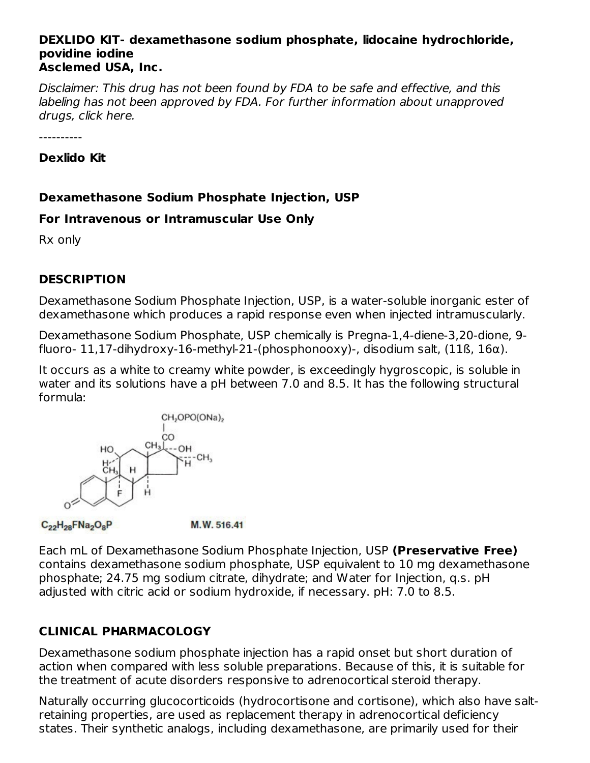#### **DEXLIDO KIT- dexamethasone sodium phosphate, lidocaine hydrochloride, povidine iodine Asclemed USA, Inc.**

Disclaimer: This drug has not been found by FDA to be safe and effective, and this labeling has not been approved by FDA. For further information about unapproved drugs, click here.

----------

#### **Dexlido Kit**

## **Dexamethasone Sodium Phosphate Injection, USP**

## **For Intravenous or Intramuscular Use Only**

Rx only

## **DESCRIPTION**

Dexamethasone Sodium Phosphate Injection, USP, is a water-soluble inorganic ester of dexamethasone which produces a rapid response even when injected intramuscularly.

Dexamethasone Sodium Phosphate, USP chemically is Pregna-1,4-diene-3,20-dione, 9 fluoro- 11,17-dihydroxy-16-methyl-21-(phosphonooxy)-, disodium salt, (11ß, 16 $\alpha$ ).

It occurs as a white to creamy white powder, is exceedingly hygroscopic, is soluble in water and its solutions have a pH between 7.0 and 8.5. It has the following structural formula:



#### $C_{22}H_{28}FMa_2O_8P$

M.W. 516.41

Each mL of Dexamethasone Sodium Phosphate Injection, USP **(Preservative Free)** contains dexamethasone sodium phosphate, USP equivalent to 10 mg dexamethasone phosphate; 24.75 mg sodium citrate, dihydrate; and Water for Injection, q.s. pH adjusted with citric acid or sodium hydroxide, if necessary. pH: 7.0 to 8.5.

## **CLINICAL PHARMACOLOGY**

Dexamethasone sodium phosphate injection has a rapid onset but short duration of action when compared with less soluble preparations. Because of this, it is suitable for the treatment of acute disorders responsive to adrenocortical steroid therapy.

Naturally occurring glucocorticoids (hydrocortisone and cortisone), which also have saltretaining properties, are used as replacement therapy in adrenocortical deficiency states. Their synthetic analogs, including dexamethasone, are primarily used for their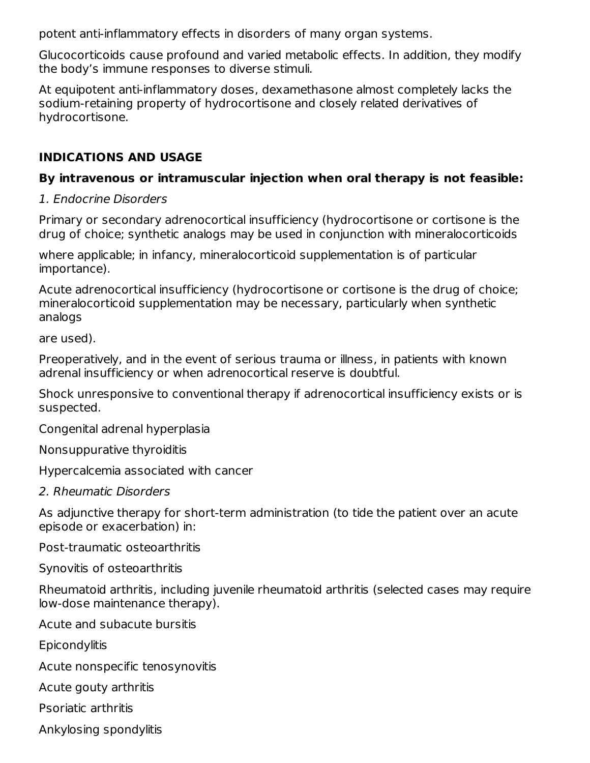potent anti-inflammatory effects in disorders of many organ systems.

Glucocorticoids cause profound and varied metabolic effects. In addition, they modify the body's immune responses to diverse stimuli.

At equipotent anti-inflammatory doses, dexamethasone almost completely lacks the sodium-retaining property of hydrocortisone and closely related derivatives of hydrocortisone.

## **INDICATIONS AND USAGE**

## **By intravenous or intramuscular injection when oral therapy is not feasible:**

### 1. Endocrine Disorders

Primary or secondary adrenocortical insufficiency (hydrocortisone or cortisone is the drug of choice; synthetic analogs may be used in conjunction with mineralocorticoids

where applicable; in infancy, mineralocorticoid supplementation is of particular importance).

Acute adrenocortical insufficiency (hydrocortisone or cortisone is the drug of choice; mineralocorticoid supplementation may be necessary, particularly when synthetic analogs

are used).

Preoperatively, and in the event of serious trauma or illness, in patients with known adrenal insufficiency or when adrenocortical reserve is doubtful.

Shock unresponsive to conventional therapy if adrenocortical insufficiency exists or is suspected.

Congenital adrenal hyperplasia

Nonsuppurative thyroiditis

Hypercalcemia associated with cancer

## 2. Rheumatic Disorders

As adjunctive therapy for short-term administration (to tide the patient over an acute episode or exacerbation) in:

Post-traumatic osteoarthritis

Synovitis of osteoarthritis

Rheumatoid arthritis, including juvenile rheumatoid arthritis (selected cases may require low-dose maintenance therapy).

Acute and subacute bursitis

**Epicondylitis** 

Acute nonspecific tenosynovitis

Acute gouty arthritis

Psoriatic arthritis

Ankylosing spondylitis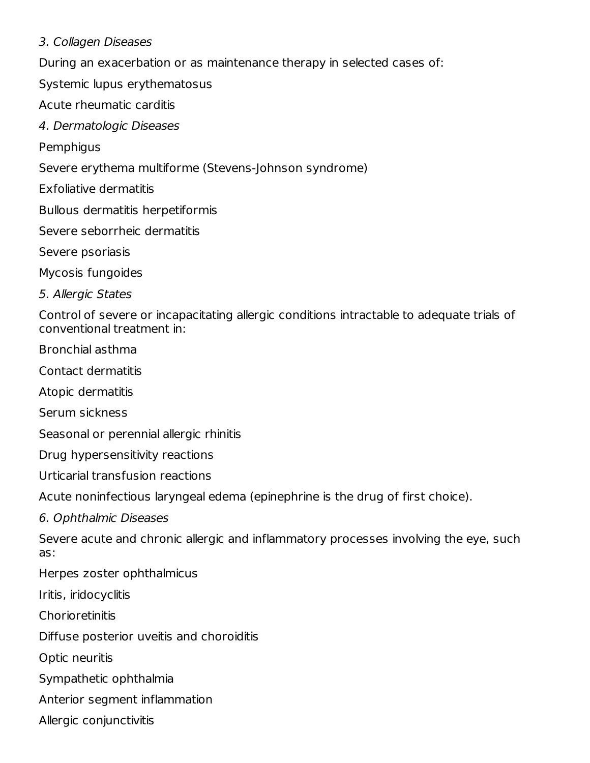### 3. Collagen Diseases

During an exacerbation or as maintenance therapy in selected cases of:

Systemic lupus erythematosus

Acute rheumatic carditis

4. Dermatologic Diseases

Pemphigus

Severe erythema multiforme (Stevens-Johnson syndrome)

Exfoliative dermatitis

Bullous dermatitis herpetiformis

Severe seborrheic dermatitis

Severe psoriasis

Mycosis fungoides

### 5. Allergic States

Control of severe or incapacitating allergic conditions intractable to adequate trials of conventional treatment in:

Bronchial asthma

Contact dermatitis

Atopic dermatitis

Serum sickness

Seasonal or perennial allergic rhinitis

Drug hypersensitivity reactions

Urticarial transfusion reactions

Acute noninfectious laryngeal edema (epinephrine is the drug of first choice).

6. Ophthalmic Diseases

Severe acute and chronic allergic and inflammatory processes involving the eye, such as:

Herpes zoster ophthalmicus

Iritis, iridocyclitis

**Chorioretinitis** 

Diffuse posterior uveitis and choroiditis

Optic neuritis

Sympathetic ophthalmia

Anterior segment inflammation

Allergic conjunctivitis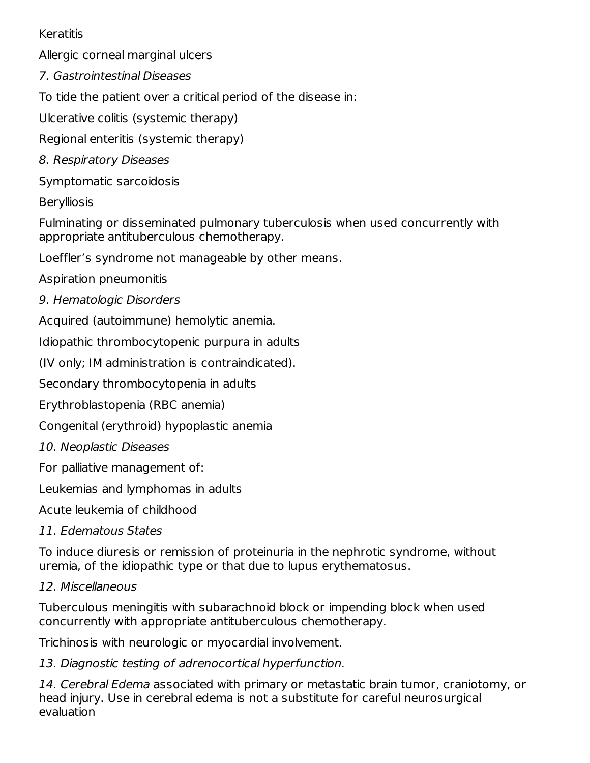Keratitis

Allergic corneal marginal ulcers

7. Gastrointestinal Diseases

To tide the patient over a critical period of the disease in:

Ulcerative colitis (systemic therapy)

Regional enteritis (systemic therapy)

8. Respiratory Diseases

Symptomatic sarcoidosis

**Berylliosis** 

Fulminating or disseminated pulmonary tuberculosis when used concurrently with appropriate antituberculous chemotherapy.

Loeffler's syndrome not manageable by other means.

Aspiration pneumonitis

9. Hematologic Disorders

Acquired (autoimmune) hemolytic anemia.

Idiopathic thrombocytopenic purpura in adults

(IV only; IM administration is contraindicated).

Secondary thrombocytopenia in adults

Erythroblastopenia (RBC anemia)

Congenital (erythroid) hypoplastic anemia

10. Neoplastic Diseases

For palliative management of:

Leukemias and lymphomas in adults

Acute leukemia of childhood

11. Edematous States

To induce diuresis or remission of proteinuria in the nephrotic syndrome, without uremia, of the idiopathic type or that due to lupus erythematosus.

# 12. Miscellaneous

Tuberculous meningitis with subarachnoid block or impending block when used concurrently with appropriate antituberculous chemotherapy.

Trichinosis with neurologic or myocardial involvement.

13. Diagnostic testing of adrenocortical hyperfunction.

14. Cerebral Edema associated with primary or metastatic brain tumor, craniotomy, or head injury. Use in cerebral edema is not a substitute for careful neurosurgical evaluation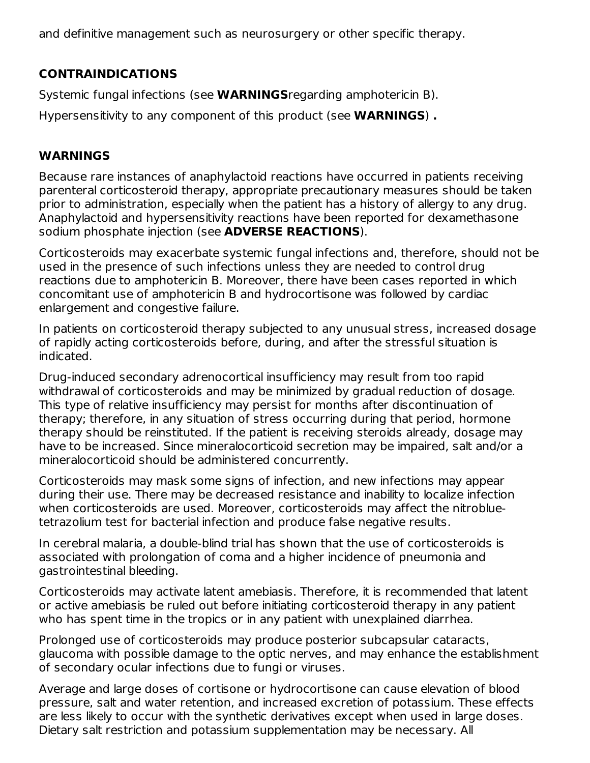and definitive management such as neurosurgery or other specific therapy.

## **CONTRAINDICATIONS**

Systemic fungal infections (see **WARNINGS**regarding amphotericin B).

Hypersensitivity to any component of this product (see **WARNINGS**) **.**

## **WARNINGS**

Because rare instances of anaphylactoid reactions have occurred in patients receiving parenteral corticosteroid therapy, appropriate precautionary measures should be taken prior to administration, especially when the patient has a history of allergy to any drug. Anaphylactoid and hypersensitivity reactions have been reported for dexamethasone sodium phosphate injection (see **ADVERSE REACTIONS**).

Corticosteroids may exacerbate systemic fungal infections and, therefore, should not be used in the presence of such infections unless they are needed to control drug reactions due to amphotericin B. Moreover, there have been cases reported in which concomitant use of amphotericin B and hydrocortisone was followed by cardiac enlargement and congestive failure.

In patients on corticosteroid therapy subjected to any unusual stress, increased dosage of rapidly acting corticosteroids before, during, and after the stressful situation is indicated.

Drug-induced secondary adrenocortical insufficiency may result from too rapid withdrawal of corticosteroids and may be minimized by gradual reduction of dosage. This type of relative insufficiency may persist for months after discontinuation of therapy; therefore, in any situation of stress occurring during that period, hormone therapy should be reinstituted. If the patient is receiving steroids already, dosage may have to be increased. Since mineralocorticoid secretion may be impaired, salt and/or a mineralocorticoid should be administered concurrently.

Corticosteroids may mask some signs of infection, and new infections may appear during their use. There may be decreased resistance and inability to localize infection when corticosteroids are used. Moreover, corticosteroids may affect the nitrobluetetrazolium test for bacterial infection and produce false negative results.

In cerebral malaria, a double-blind trial has shown that the use of corticosteroids is associated with prolongation of coma and a higher incidence of pneumonia and gastrointestinal bleeding.

Corticosteroids may activate latent amebiasis. Therefore, it is recommended that latent or active amebiasis be ruled out before initiating corticosteroid therapy in any patient who has spent time in the tropics or in any patient with unexplained diarrhea.

Prolonged use of corticosteroids may produce posterior subcapsular cataracts, glaucoma with possible damage to the optic nerves, and may enhance the establishment of secondary ocular infections due to fungi or viruses.

Average and large doses of cortisone or hydrocortisone can cause elevation of blood pressure, salt and water retention, and increased excretion of potassium. These effects are less likely to occur with the synthetic derivatives except when used in large doses. Dietary salt restriction and potassium supplementation may be necessary. All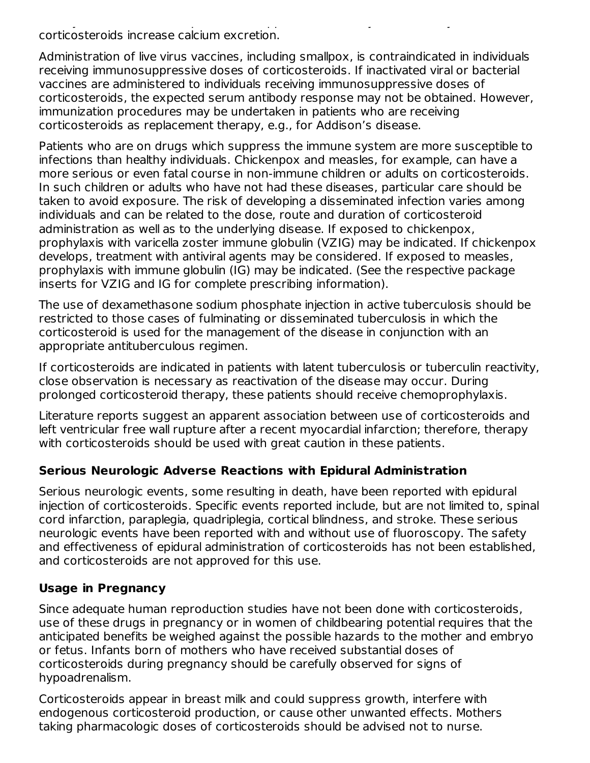Dietary salt restriction and potassium supplementation may be necessary. All corticosteroids increase calcium excretion.

Administration of live virus vaccines, including smallpox, is contraindicated in individuals receiving immunosuppressive doses of corticosteroids. If inactivated viral or bacterial vaccines are administered to individuals receiving immunosuppressive doses of corticosteroids, the expected serum antibody response may not be obtained. However, immunization procedures may be undertaken in patients who are receiving corticosteroids as replacement therapy, e.g., for Addison's disease.

Patients who are on drugs which suppress the immune system are more susceptible to infections than healthy individuals. Chickenpox and measles, for example, can have a more serious or even fatal course in non-immune children or adults on corticosteroids. In such children or adults who have not had these diseases, particular care should be taken to avoid exposure. The risk of developing a disseminated infection varies among individuals and can be related to the dose, route and duration of corticosteroid administration as well as to the underlying disease. If exposed to chickenpox, prophylaxis with varicella zoster immune globulin (VZIG) may be indicated. If chickenpox develops, treatment with antiviral agents may be considered. If exposed to measles, prophylaxis with immune globulin (IG) may be indicated. (See the respective package inserts for VZIG and IG for complete prescribing information).

The use of dexamethasone sodium phosphate injection in active tuberculosis should be restricted to those cases of fulminating or disseminated tuberculosis in which the corticosteroid is used for the management of the disease in conjunction with an appropriate antituberculous regimen.

If corticosteroids are indicated in patients with latent tuberculosis or tuberculin reactivity, close observation is necessary as reactivation of the disease may occur. During prolonged corticosteroid therapy, these patients should receive chemoprophylaxis.

Literature reports suggest an apparent association between use of corticosteroids and left ventricular free wall rupture after a recent myocardial infarction; therefore, therapy with corticosteroids should be used with great caution in these patients.

### **Serious Neurologic Adverse Reactions with Epidural Administration**

Serious neurologic events, some resulting in death, have been reported with epidural injection of corticosteroids. Specific events reported include, but are not limited to, spinal cord infarction, paraplegia, quadriplegia, cortical blindness, and stroke. These serious neurologic events have been reported with and without use of fluoroscopy. The safety and effectiveness of epidural administration of corticosteroids has not been established, and corticosteroids are not approved for this use.

## **Usage in Pregnancy**

Since adequate human reproduction studies have not been done with corticosteroids, use of these drugs in pregnancy or in women of childbearing potential requires that the anticipated benefits be weighed against the possible hazards to the mother and embryo or fetus. Infants born of mothers who have received substantial doses of corticosteroids during pregnancy should be carefully observed for signs of hypoadrenalism.

Corticosteroids appear in breast milk and could suppress growth, interfere with endogenous corticosteroid production, or cause other unwanted effects. Mothers taking pharmacologic doses of corticosteroids should be advised not to nurse.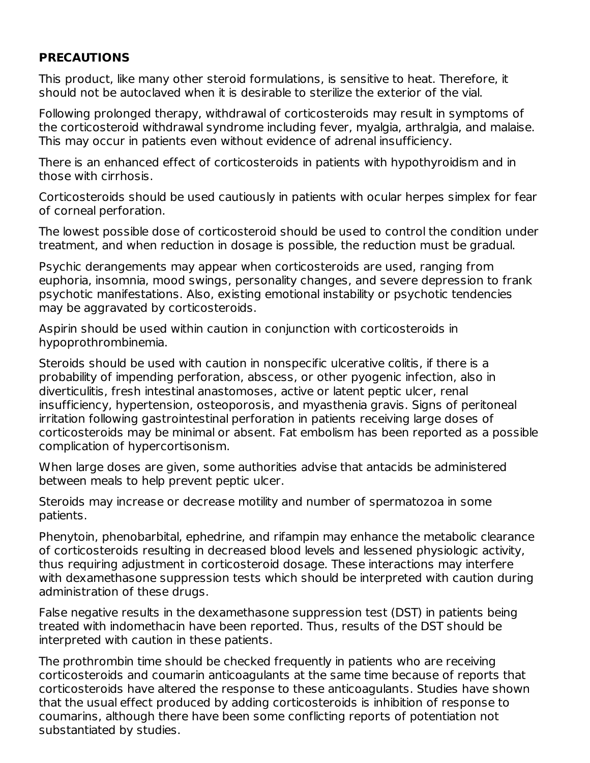### **PRECAUTIONS**

This product, like many other steroid formulations, is sensitive to heat. Therefore, it should not be autoclaved when it is desirable to sterilize the exterior of the vial.

Following prolonged therapy, withdrawal of corticosteroids may result in symptoms of the corticosteroid withdrawal syndrome including fever, myalgia, arthralgia, and malaise. This may occur in patients even without evidence of adrenal insufficiency.

There is an enhanced effect of corticosteroids in patients with hypothyroidism and in those with cirrhosis.

Corticosteroids should be used cautiously in patients with ocular herpes simplex for fear of corneal perforation.

The lowest possible dose of corticosteroid should be used to control the condition under treatment, and when reduction in dosage is possible, the reduction must be gradual.

Psychic derangements may appear when corticosteroids are used, ranging from euphoria, insomnia, mood swings, personality changes, and severe depression to frank psychotic manifestations. Also, existing emotional instability or psychotic tendencies may be aggravated by corticosteroids.

Aspirin should be used within caution in conjunction with corticosteroids in hypoprothrombinemia.

Steroids should be used with caution in nonspecific ulcerative colitis, if there is a probability of impending perforation, abscess, or other pyogenic infection, also in diverticulitis, fresh intestinal anastomoses, active or latent peptic ulcer, renal insufficiency, hypertension, osteoporosis, and myasthenia gravis. Signs of peritoneal irritation following gastrointestinal perforation in patients receiving large doses of corticosteroids may be minimal or absent. Fat embolism has been reported as a possible complication of hypercortisonism.

When large doses are given, some authorities advise that antacids be administered between meals to help prevent peptic ulcer.

Steroids may increase or decrease motility and number of spermatozoa in some patients.

Phenytoin, phenobarbital, ephedrine, and rifampin may enhance the metabolic clearance of corticosteroids resulting in decreased blood levels and lessened physiologic activity, thus requiring adjustment in corticosteroid dosage. These interactions may interfere with dexamethasone suppression tests which should be interpreted with caution during administration of these drugs.

False negative results in the dexamethasone suppression test (DST) in patients being treated with indomethacin have been reported. Thus, results of the DST should be interpreted with caution in these patients.

The prothrombin time should be checked frequently in patients who are receiving corticosteroids and coumarin anticoagulants at the same time because of reports that corticosteroids have altered the response to these anticoagulants. Studies have shown that the usual effect produced by adding corticosteroids is inhibition of response to coumarins, although there have been some conflicting reports of potentiation not substantiated by studies.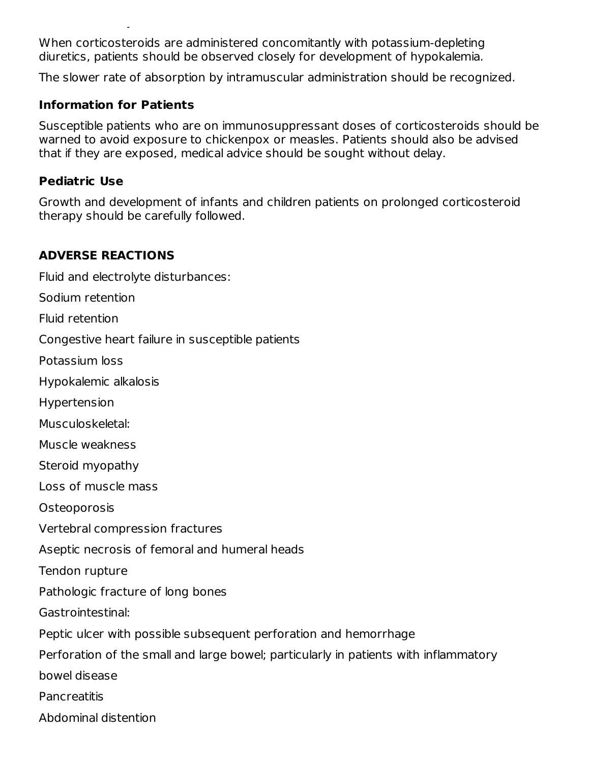When corticosteroids are administered concomitantly with potassium-depleting diuretics, patients should be observed closely for development of hypokalemia.

The slower rate of absorption by intramuscular administration should be recognized.

## **Information for Patients**

substantiated by studies.

Susceptible patients who are on immunosuppressant doses of corticosteroids should be warned to avoid exposure to chickenpox or measles. Patients should also be advised that if they are exposed, medical advice should be sought without delay.

## **Pediatric Use**

Growth and development of infants and children patients on prolonged corticosteroid therapy should be carefully followed.

## **ADVERSE REACTIONS**

Fluid and electrolyte disturbances: Sodium retention Fluid retention Congestive heart failure in susceptible patients Potassium loss Hypokalemic alkalosis Hypertension Musculoskeletal: Muscle weakness Steroid myopathy Loss of muscle mass **Osteoporosis** Vertebral compression fractures Aseptic necrosis of femoral and humeral heads Tendon rupture Pathologic fracture of long bones Gastrointestinal: Peptic ulcer with possible subsequent perforation and hemorrhage Perforation of the small and large bowel; particularly in patients with inflammatory bowel disease **Pancreatitis** Abdominal distention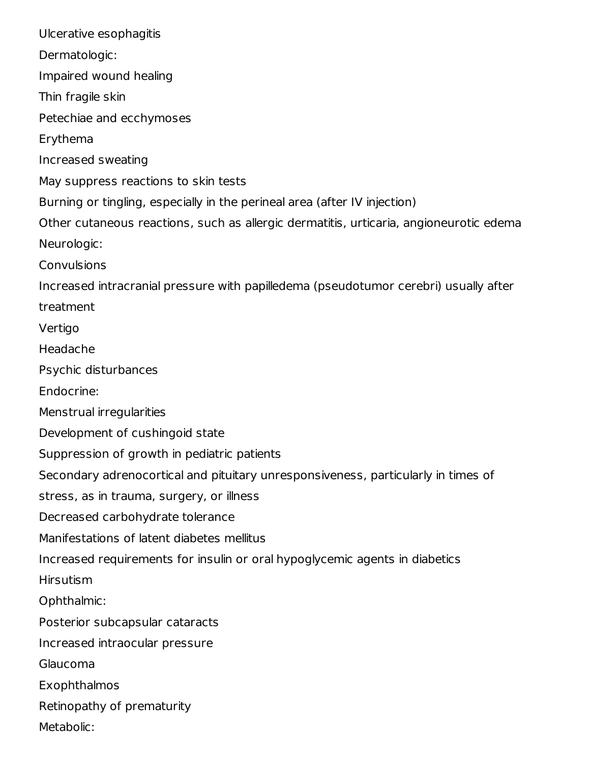Ulcerative esophagitis Dermatologic: Impaired wound healing Thin fragile skin Petechiae and ecchymoses Erythema Increased sweating May suppress reactions to skin tests Burning or tingling, especially in the perineal area (after IV injection) Other cutaneous reactions, such as allergic dermatitis, urticaria, angioneurotic edema Neurologic: **Convulsions** Increased intracranial pressure with papilledema (pseudotumor cerebri) usually after treatment Vertigo Headache Psychic disturbances Endocrine: Menstrual irregularities Development of cushingoid state Suppression of growth in pediatric patients Secondary adrenocortical and pituitary unresponsiveness, particularly in times of stress, as in trauma, surgery, or illness Decreased carbohydrate tolerance Manifestations of latent diabetes mellitus Increased requirements for insulin or oral hypoglycemic agents in diabetics **Hirsutism** Ophthalmic: Posterior subcapsular cataracts Increased intraocular pressure Glaucoma Exophthalmos Retinopathy of prematurity Metabolic: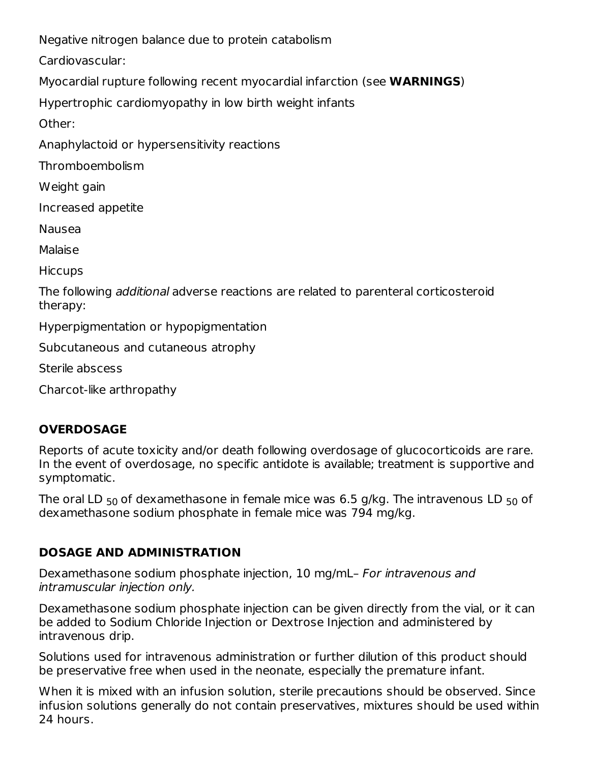Negative nitrogen balance due to protein catabolism

Cardiovascular:

Myocardial rupture following recent myocardial infarction (see **WARNINGS**)

Hypertrophic cardiomyopathy in low birth weight infants

Other:

Anaphylactoid or hypersensitivity reactions

Thromboembolism

Weight gain

Increased appetite

Nausea

Malaise

Hiccups

The following additional adverse reactions are related to parenteral corticosteroid therapy:

Hyperpigmentation or hypopigmentation

Subcutaneous and cutaneous atrophy

Sterile abscess

Charcot-like arthropathy

## **OVERDOSAGE**

Reports of acute toxicity and/or death following overdosage of glucocorticoids are rare. In the event of overdosage, no specific antidote is available; treatment is supportive and symptomatic.

The oral LD  $_{50}$  of dexamethasone in female mice was 6.5 g/kg. The intravenous LD  $_{50}$  of dexamethasone sodium phosphate in female mice was 794 mg/kg.

# **DOSAGE AND ADMINISTRATION**

Dexamethasone sodium phosphate injection, 10 mg/mL– For intravenous and intramuscular injection only.

Dexamethasone sodium phosphate injection can be given directly from the vial, or it can be added to Sodium Chloride Injection or Dextrose Injection and administered by intravenous drip.

Solutions used for intravenous administration or further dilution of this product should be preservative free when used in the neonate, especially the premature infant.

When it is mixed with an infusion solution, sterile precautions should be observed. Since infusion solutions generally do not contain preservatives, mixtures should be used within 24 hours.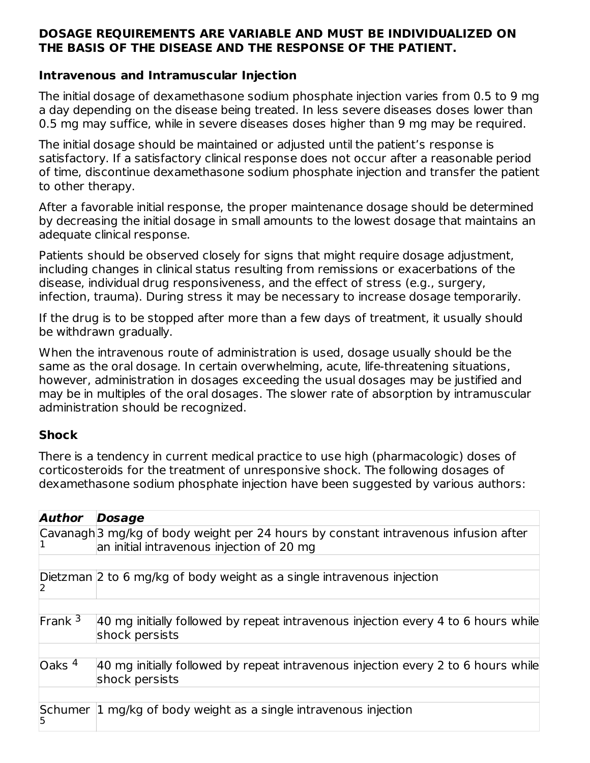#### **DOSAGE REQUIREMENTS ARE VARIABLE AND MUST BE INDIVIDUALIZED ON THE BASIS OF THE DISEASE AND THE RESPONSE OF THE PATIENT.**

### **Intravenous and Intramuscular Injection**

The initial dosage of dexamethasone sodium phosphate injection varies from 0.5 to 9 mg a day depending on the disease being treated. In less severe diseases doses lower than 0.5 mg may suffice, while in severe diseases doses higher than 9 mg may be required.

The initial dosage should be maintained or adjusted until the patient's response is satisfactory. If a satisfactory clinical response does not occur after a reasonable period of time, discontinue dexamethasone sodium phosphate injection and transfer the patient to other therapy.

After a favorable initial response, the proper maintenance dosage should be determined by decreasing the initial dosage in small amounts to the lowest dosage that maintains an adequate clinical response.

Patients should be observed closely for signs that might require dosage adjustment, including changes in clinical status resulting from remissions or exacerbations of the disease, individual drug responsiveness, and the effect of stress (e.g., surgery, infection, trauma). During stress it may be necessary to increase dosage temporarily.

If the drug is to be stopped after more than a few days of treatment, it usually should be withdrawn gradually.

When the intravenous route of administration is used, dosage usually should be the same as the oral dosage. In certain overwhelming, acute, life-threatening situations, however, administration in dosages exceeding the usual dosages may be justified and may be in multiples of the oral dosages. The slower rate of absorption by intramuscular administration should be recognized.

### **Shock**

There is a tendency in current medical practice to use high (pharmacologic) doses of corticosteroids for the treatment of unresponsive shock. The following dosages of dexamethasone sodium phosphate injection have been suggested by various authors:

| <b>Author</b> | <b>Dosage</b>                                                                                                                                 |
|---------------|-----------------------------------------------------------------------------------------------------------------------------------------------|
|               | Cavanagh <sup>[2]</sup> mg/kg of body weight per 24 hours by constant intravenous infusion after<br>an initial intravenous injection of 20 mg |
|               |                                                                                                                                               |
| 12            | Dietzman 2 to 6 mg/kg of body weight as a single intravenous injection                                                                        |
|               |                                                                                                                                               |
| Frank $^3$    | 40 mg initially followed by repeat intravenous injection every 4 to 6 hours while<br>shock persists                                           |
|               |                                                                                                                                               |
| Oaks $4$      | 40 mg initially followed by repeat intravenous injection every 2 to 6 hours while<br>shock persists                                           |
|               |                                                                                                                                               |
| Schumer<br>5  | 1 mg/kg of body weight as a single intravenous injection                                                                                      |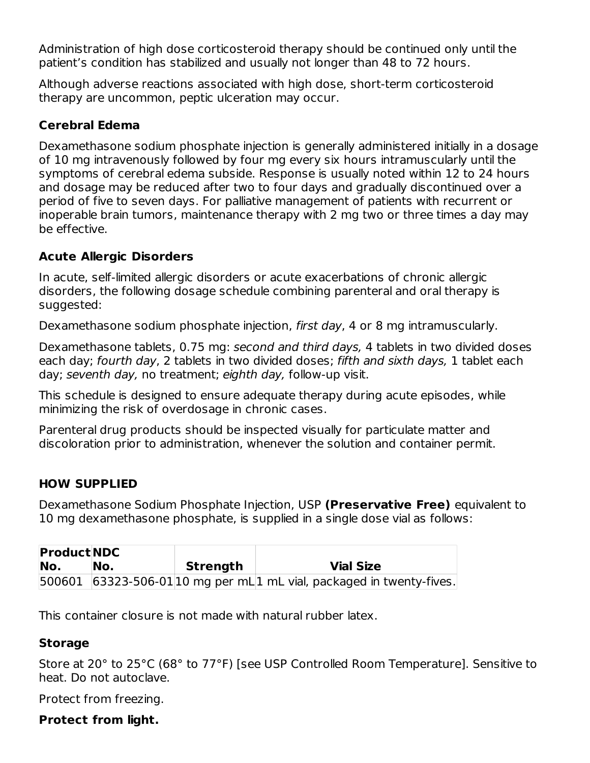Administration of high dose corticosteroid therapy should be continued only until the patient's condition has stabilized and usually not longer than 48 to 72 hours.

Although adverse reactions associated with high dose, short-term corticosteroid therapy are uncommon, peptic ulceration may occur.

## **Cerebral Edema**

Dexamethasone sodium phosphate injection is generally administered initially in a dosage of 10 mg intravenously followed by four mg every six hours intramuscularly until the symptoms of cerebral edema subside. Response is usually noted within 12 to 24 hours and dosage may be reduced after two to four days and gradually discontinued over a period of five to seven days. For palliative management of patients with recurrent or inoperable brain tumors, maintenance therapy with 2 mg two or three times a day may be effective.

## **Acute Allergic Disorders**

In acute, self-limited allergic disorders or acute exacerbations of chronic allergic disorders, the following dosage schedule combining parenteral and oral therapy is suggested:

Dexamethasone sodium phosphate injection, first day, 4 or 8 mg intramuscularly.

Dexamethasone tablets, 0.75 mg: second and third days, 4 tablets in two divided doses each day; fourth day, 2 tablets in two divided doses; fifth and sixth days, 1 tablet each day; seventh day, no treatment; eighth day, follow-up visit.

This schedule is designed to ensure adequate therapy during acute episodes, while minimizing the risk of overdosage in chronic cases.

Parenteral drug products should be inspected visually for particulate matter and discoloration prior to administration, whenever the solution and container permit.

## **HOW SUPPLIED**

Dexamethasone Sodium Phosphate Injection, USP **(Preservative Free)** equivalent to 10 mg dexamethasone phosphate, is supplied in a single dose vial as follows:

| <b>Product NDC</b> |     |                 |                                                                              |
|--------------------|-----|-----------------|------------------------------------------------------------------------------|
| No.                | No. | <b>Strength</b> | <b>Vial Size</b>                                                             |
|                    |     |                 | $ 500601 $ $ 63323-506-01 10$ mg per mL 1 mL vial, packaged in twenty-fives. |

This container closure is not made with natural rubber latex.

### **Storage**

Store at 20° to 25°C (68° to 77°F) [see USP Controlled Room Temperature]. Sensitive to heat. Do not autoclave.

Protect from freezing.

## **Protect from light.**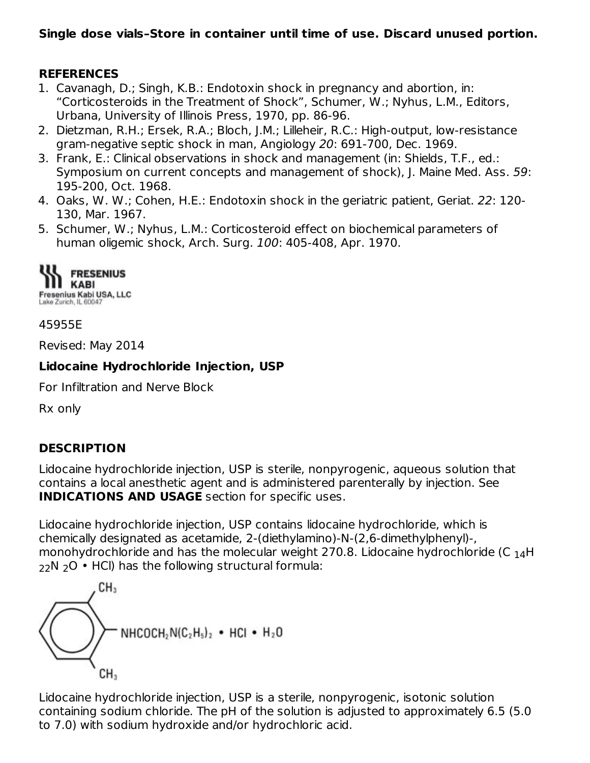## **Single dose vials–Store in container until time of use. Discard unused portion.**

## **REFERENCES**

- 1. Cavanagh, D.; Singh, K.B.: Endotoxin shock in pregnancy and abortion, in: "Corticosteroids in the Treatment of Shock", Schumer, W.; Nyhus, L.M., Editors, Urbana, University of Illinois Press, 1970, pp. 86-96.
- 2. Dietzman, R.H.; Ersek, R.A.; Bloch, J.M.; Lilleheir, R.C.: High-output, low-resistance gram-negative septic shock in man, Angiology 20: 691-700, Dec. 1969.
- 3. Frank, E.: Clinical observations in shock and management (in: Shields, T.F., ed.: Symposium on current concepts and management of shock), J. Maine Med. Ass. 59: 195-200, Oct. 1968.
- 4. Oaks, W. W.; Cohen, H.E.: Endotoxin shock in the geriatric patient, Geriat. 22: 120- 130, Mar. 1967.
- 5. Schumer, W.; Nyhus, L.M.: Corticosteroid effect on biochemical parameters of human oligemic shock, Arch. Surg. 100: 405-408, Apr. 1970.



## 45955E

Revised: May 2014

## **Lidocaine Hydrochloride Injection, USP**

For Infiltration and Nerve Block

Rx only

## **DESCRIPTION**

Lidocaine hydrochloride injection, USP is sterile, nonpyrogenic, aqueous solution that contains a local anesthetic agent and is administered parenterally by injection. See **INDICATIONS AND USAGE** section for specific uses.

Lidocaine hydrochloride injection, USP contains lidocaine hydrochloride, which is chemically designated as acetamide, 2-(diethylamino)-N-(2,6-dimethylphenyl)-, monohydrochloride and has the molecular weight 270.8. Lidocaine hydrochloride (C  $_{\rm 14}$ H  $_{22}N$   $_{2}O \cdot$  HCl) has the following structural formula:



Lidocaine hydrochloride injection, USP is a sterile, nonpyrogenic, isotonic solution containing sodium chloride. The pH of the solution is adjusted to approximately 6.5 (5.0 to 7.0) with sodium hydroxide and/or hydrochloric acid.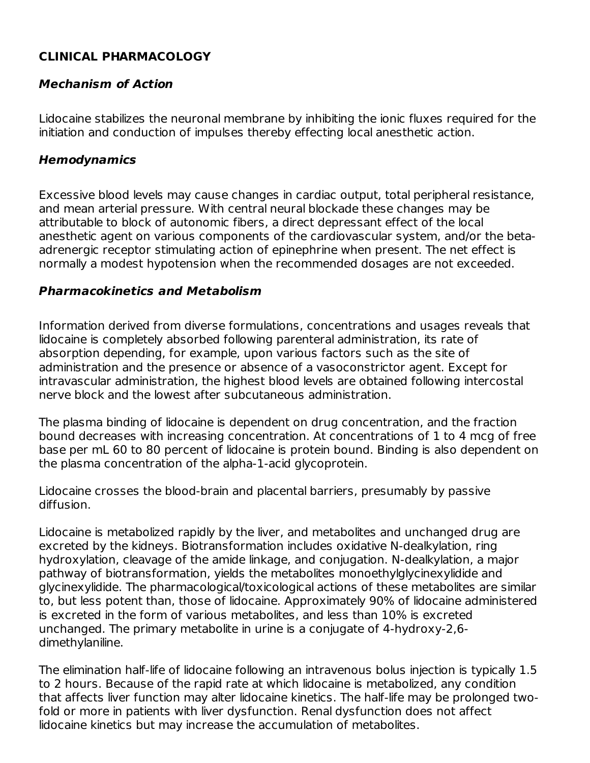## **CLINICAL PHARMACOLOGY**

### **Mechanism of Action**

Lidocaine stabilizes the neuronal membrane by inhibiting the ionic fluxes required for the initiation and conduction of impulses thereby effecting local anesthetic action.

### **Hemodynamics**

Excessive blood levels may cause changes in cardiac output, total peripheral resistance, and mean arterial pressure. With central neural blockade these changes may be attributable to block of autonomic fibers, a direct depressant effect of the local anesthetic agent on various components of the cardiovascular system, and/or the betaadrenergic receptor stimulating action of epinephrine when present. The net effect is normally a modest hypotension when the recommended dosages are not exceeded.

#### **Pharmacokinetics and Metabolism**

Information derived from diverse formulations, concentrations and usages reveals that lidocaine is completely absorbed following parenteral administration, its rate of absorption depending, for example, upon various factors such as the site of administration and the presence or absence of a vasoconstrictor agent. Except for intravascular administration, the highest blood levels are obtained following intercostal nerve block and the lowest after subcutaneous administration.

The plasma binding of lidocaine is dependent on drug concentration, and the fraction bound decreases with increasing concentration. At concentrations of 1 to 4 mcg of free base per mL 60 to 80 percent of lidocaine is protein bound. Binding is also dependent on the plasma concentration of the alpha-1-acid glycoprotein.

Lidocaine crosses the blood-brain and placental barriers, presumably by passive diffusion.

Lidocaine is metabolized rapidly by the liver, and metabolites and unchanged drug are excreted by the kidneys. Biotransformation includes oxidative N-dealkylation, ring hydroxylation, cleavage of the amide linkage, and conjugation. N-dealkylation, a major pathway of biotransformation, yields the metabolites monoethylglycinexylidide and glycinexylidide. The pharmacological/toxicological actions of these metabolites are similar to, but less potent than, those of lidocaine. Approximately 90% of lidocaine administered is excreted in the form of various metabolites, and less than 10% is excreted unchanged. The primary metabolite in urine is a conjugate of 4-hydroxy-2,6 dimethylaniline.

The elimination half-life of lidocaine following an intravenous bolus injection is typically 1.5 to 2 hours. Because of the rapid rate at which lidocaine is metabolized, any condition that affects liver function may alter lidocaine kinetics. The half-life may be prolonged twofold or more in patients with liver dysfunction. Renal dysfunction does not affect lidocaine kinetics but may increase the accumulation of metabolites.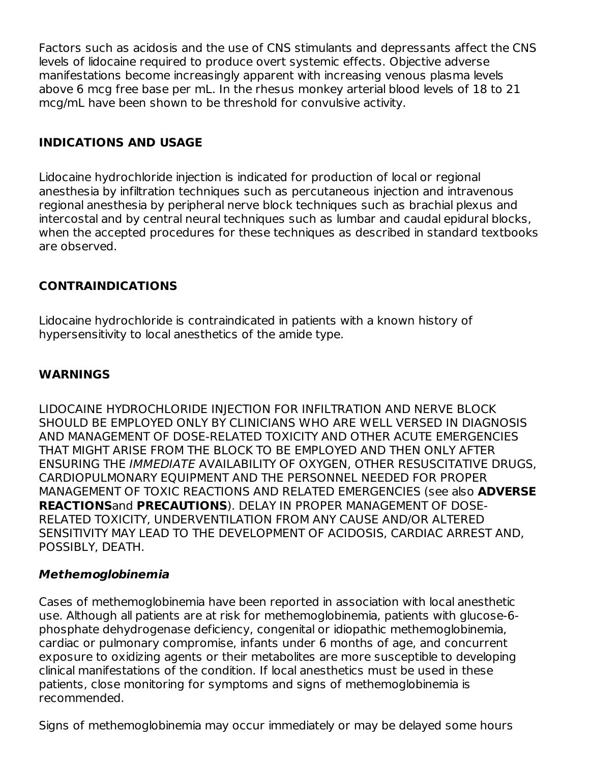Factors such as acidosis and the use of CNS stimulants and depressants affect the CNS levels of lidocaine required to produce overt systemic effects. Objective adverse manifestations become increasingly apparent with increasing venous plasma levels above 6 mcg free base per mL. In the rhesus monkey arterial blood levels of 18 to 21 mcg/mL have been shown to be threshold for convulsive activity.

### **INDICATIONS AND USAGE**

Lidocaine hydrochloride injection is indicated for production of local or regional anesthesia by infiltration techniques such as percutaneous injection and intravenous regional anesthesia by peripheral nerve block techniques such as brachial plexus and intercostal and by central neural techniques such as lumbar and caudal epidural blocks, when the accepted procedures for these techniques as described in standard textbooks are observed.

### **CONTRAINDICATIONS**

Lidocaine hydrochloride is contraindicated in patients with a known history of hypersensitivity to local anesthetics of the amide type.

#### **WARNINGS**

LIDOCAINE HYDROCHLORIDE INJECTION FOR INFILTRATION AND NERVE BLOCK SHOULD BE EMPLOYED ONLY BY CLINICIANS WHO ARE WELL VERSED IN DIAGNOSIS AND MANAGEMENT OF DOSE-RELATED TOXICITY AND OTHER ACUTE EMERGENCIES THAT MIGHT ARISE FROM THE BLOCK TO BE EMPLOYED AND THEN ONLY AFTER ENSURING THE IMMEDIATE AVAILABILITY OF OXYGEN, OTHER RESUSCITATIVE DRUGS, CARDIOPULMONARY EQUIPMENT AND THE PERSONNEL NEEDED FOR PROPER MANAGEMENT OF TOXIC REACTIONS AND RELATED EMERGENCIES (see also **ADVERSE REACTIONS**and **PRECAUTIONS**). DELAY IN PROPER MANAGEMENT OF DOSE-RELATED TOXICITY, UNDERVENTILATION FROM ANY CAUSE AND/OR ALTERED SENSITIVITY MAY LEAD TO THE DEVELOPMENT OF ACIDOSIS, CARDIAC ARREST AND, POSSIBLY, DEATH.

#### **Methemoglobinemia**

Cases of methemoglobinemia have been reported in association with local anesthetic use. Although all patients are at risk for methemoglobinemia, patients with glucose-6 phosphate dehydrogenase deficiency, congenital or idiopathic methemoglobinemia, cardiac or pulmonary compromise, infants under 6 months of age, and concurrent exposure to oxidizing agents or their metabolites are more susceptible to developing clinical manifestations of the condition. If local anesthetics must be used in these patients, close monitoring for symptoms and signs of methemoglobinemia is recommended.

Signs of methemoglobinemia may occur immediately or may be delayed some hours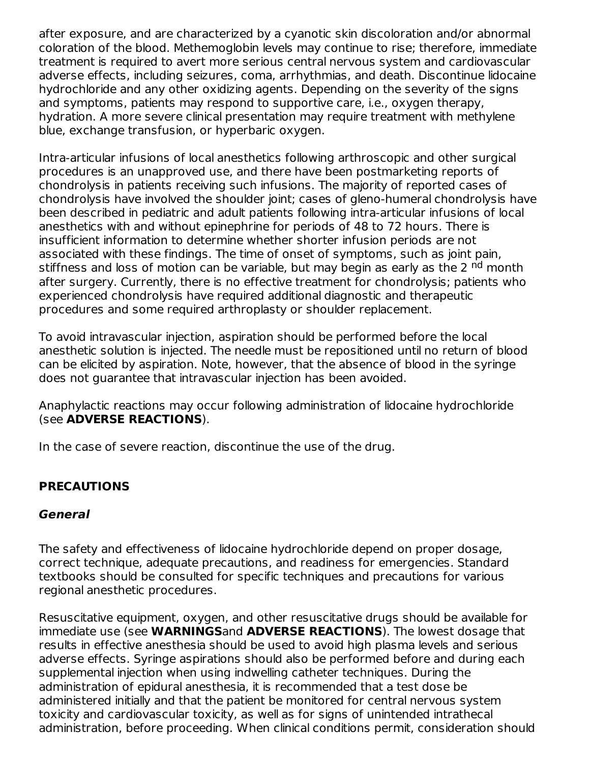after exposure, and are characterized by a cyanotic skin discoloration and/or abnormal coloration of the blood. Methemoglobin levels may continue to rise; therefore, immediate treatment is required to avert more serious central nervous system and cardiovascular adverse effects, including seizures, coma, arrhythmias, and death. Discontinue lidocaine hydrochloride and any other oxidizing agents. Depending on the severity of the signs and symptoms, patients may respond to supportive care, i.e., oxygen therapy, hydration. A more severe clinical presentation may require treatment with methylene blue, exchange transfusion, or hyperbaric oxygen.

Intra-articular infusions of local anesthetics following arthroscopic and other surgical procedures is an unapproved use, and there have been postmarketing reports of chondrolysis in patients receiving such infusions. The majority of reported cases of chondrolysis have involved the shoulder joint; cases of gleno-humeral chondrolysis have been described in pediatric and adult patients following intra-articular infusions of local anesthetics with and without epinephrine for periods of 48 to 72 hours. There is insufficient information to determine whether shorter infusion periods are not associated with these findings. The time of onset of symptoms, such as joint pain, stiffness and loss of motion can be variable, but may begin as early as the 2 <sup>nd</sup> month after surgery. Currently, there is no effective treatment for chondrolysis; patients who experienced chondrolysis have required additional diagnostic and therapeutic procedures and some required arthroplasty or shoulder replacement.

To avoid intravascular injection, aspiration should be performed before the local anesthetic solution is injected. The needle must be repositioned until no return of blood can be elicited by aspiration. Note, however, that the absence of blood in the syringe does not guarantee that intravascular injection has been avoided.

Anaphylactic reactions may occur following administration of lidocaine hydrochloride (see **ADVERSE REACTIONS**).

In the case of severe reaction, discontinue the use of the drug.

### **PRECAUTIONS**

#### **General**

The safety and effectiveness of lidocaine hydrochloride depend on proper dosage, correct technique, adequate precautions, and readiness for emergencies. Standard textbooks should be consulted for specific techniques and precautions for various regional anesthetic procedures.

Resuscitative equipment, oxygen, and other resuscitative drugs should be available for immediate use (see **WARNINGS**and **ADVERSE REACTIONS**). The lowest dosage that results in effective anesthesia should be used to avoid high plasma levels and serious adverse effects. Syringe aspirations should also be performed before and during each supplemental injection when using indwelling catheter techniques. During the administration of epidural anesthesia, it is recommended that a test dose be administered initially and that the patient be monitored for central nervous system toxicity and cardiovascular toxicity, as well as for signs of unintended intrathecal administration, before proceeding. When clinical conditions permit, consideration should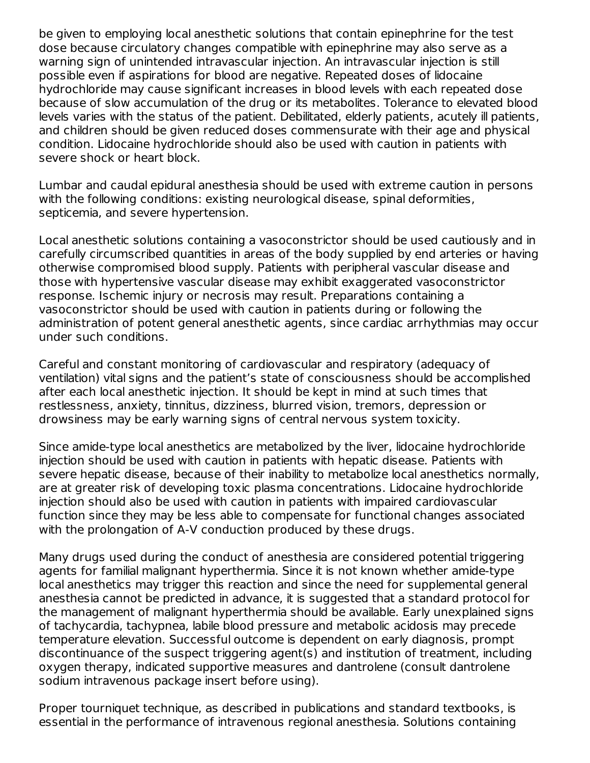be given to employing local anesthetic solutions that contain epinephrine for the test dose because circulatory changes compatible with epinephrine may also serve as a warning sign of unintended intravascular injection. An intravascular injection is still possible even if aspirations for blood are negative. Repeated doses of lidocaine hydrochloride may cause significant increases in blood levels with each repeated dose because of slow accumulation of the drug or its metabolites. Tolerance to elevated blood levels varies with the status of the patient. Debilitated, elderly patients, acutely ill patients, and children should be given reduced doses commensurate with their age and physical condition. Lidocaine hydrochloride should also be used with caution in patients with severe shock or heart block.

Lumbar and caudal epidural anesthesia should be used with extreme caution in persons with the following conditions: existing neurological disease, spinal deformities, septicemia, and severe hypertension.

Local anesthetic solutions containing a vasoconstrictor should be used cautiously and in carefully circumscribed quantities in areas of the body supplied by end arteries or having otherwise compromised blood supply. Patients with peripheral vascular disease and those with hypertensive vascular disease may exhibit exaggerated vasoconstrictor response. Ischemic injury or necrosis may result. Preparations containing a vasoconstrictor should be used with caution in patients during or following the administration of potent general anesthetic agents, since cardiac arrhythmias may occur under such conditions.

Careful and constant monitoring of cardiovascular and respiratory (adequacy of ventilation) vital signs and the patient's state of consciousness should be accomplished after each local anesthetic injection. It should be kept in mind at such times that restlessness, anxiety, tinnitus, dizziness, blurred vision, tremors, depression or drowsiness may be early warning signs of central nervous system toxicity.

Since amide-type local anesthetics are metabolized by the liver, lidocaine hydrochloride injection should be used with caution in patients with hepatic disease. Patients with severe hepatic disease, because of their inability to metabolize local anesthetics normally, are at greater risk of developing toxic plasma concentrations. Lidocaine hydrochloride injection should also be used with caution in patients with impaired cardiovascular function since they may be less able to compensate for functional changes associated with the prolongation of A-V conduction produced by these drugs.

Many drugs used during the conduct of anesthesia are considered potential triggering agents for familial malignant hyperthermia. Since it is not known whether amide-type local anesthetics may trigger this reaction and since the need for supplemental general anesthesia cannot be predicted in advance, it is suggested that a standard protocol for the management of malignant hyperthermia should be available. Early unexplained signs of tachycardia, tachypnea, labile blood pressure and metabolic acidosis may precede temperature elevation. Successful outcome is dependent on early diagnosis, prompt discontinuance of the suspect triggering agent(s) and institution of treatment, including oxygen therapy, indicated supportive measures and dantrolene (consult dantrolene sodium intravenous package insert before using).

Proper tourniquet technique, as described in publications and standard textbooks, is essential in the performance of intravenous regional anesthesia. Solutions containing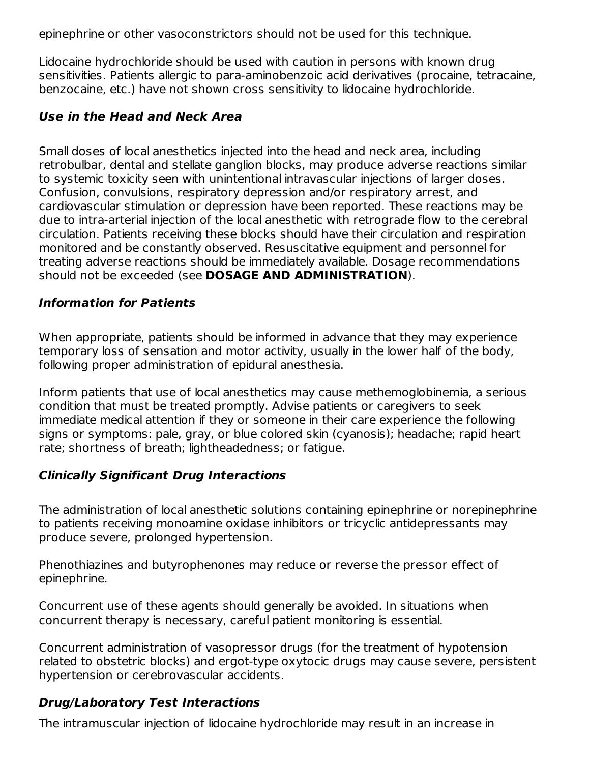epinephrine or other vasoconstrictors should not be used for this technique.

Lidocaine hydrochloride should be used with caution in persons with known drug sensitivities. Patients allergic to para-aminobenzoic acid derivatives (procaine, tetracaine, benzocaine, etc.) have not shown cross sensitivity to lidocaine hydrochloride.

### **Use in the Head and Neck Area**

Small doses of local anesthetics injected into the head and neck area, including retrobulbar, dental and stellate ganglion blocks, may produce adverse reactions similar to systemic toxicity seen with unintentional intravascular injections of larger doses. Confusion, convulsions, respiratory depression and/or respiratory arrest, and cardiovascular stimulation or depression have been reported. These reactions may be due to intra-arterial injection of the local anesthetic with retrograde flow to the cerebral circulation. Patients receiving these blocks should have their circulation and respiration monitored and be constantly observed. Resuscitative equipment and personnel for treating adverse reactions should be immediately available. Dosage recommendations should not be exceeded (see **DOSAGE AND ADMINISTRATION**).

### **Information for Patients**

When appropriate, patients should be informed in advance that they may experience temporary loss of sensation and motor activity, usually in the lower half of the body, following proper administration of epidural anesthesia.

Inform patients that use of local anesthetics may cause methemoglobinemia, a serious condition that must be treated promptly. Advise patients or caregivers to seek immediate medical attention if they or someone in their care experience the following signs or symptoms: pale, gray, or blue colored skin (cyanosis); headache; rapid heart rate; shortness of breath; lightheadedness; or fatigue.

### **Clinically Significant Drug Interactions**

The administration of local anesthetic solutions containing epinephrine or norepinephrine to patients receiving monoamine oxidase inhibitors or tricyclic antidepressants may produce severe, prolonged hypertension.

Phenothiazines and butyrophenones may reduce or reverse the pressor effect of epinephrine.

Concurrent use of these agents should generally be avoided. In situations when concurrent therapy is necessary, careful patient monitoring is essential.

Concurrent administration of vasopressor drugs (for the treatment of hypotension related to obstetric blocks) and ergot-type oxytocic drugs may cause severe, persistent hypertension or cerebrovascular accidents.

### **Drug/Laboratory Test Interactions**

The intramuscular injection of lidocaine hydrochloride may result in an increase in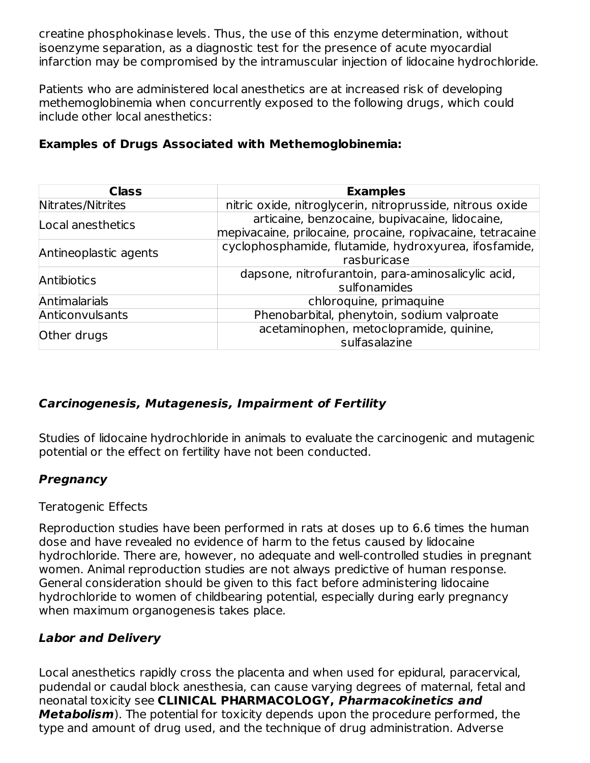creatine phosphokinase levels. Thus, the use of this enzyme determination, without isoenzyme separation, as a diagnostic test for the presence of acute myocardial infarction may be compromised by the intramuscular injection of lidocaine hydrochloride.

Patients who are administered local anesthetics are at increased risk of developing methemoglobinemia when concurrently exposed to the following drugs, which could include other local anesthetics:

## **Examples of Drugs Associated with Methemoglobinemia:**

| <b>Class</b>          | <b>Examples</b>                                                                                              |
|-----------------------|--------------------------------------------------------------------------------------------------------------|
| Nitrates/Nitrites     | nitric oxide, nitroglycerin, nitroprusside, nitrous oxide                                                    |
| Local anesthetics     | articaine, benzocaine, bupivacaine, lidocaine,<br>mepivacaine, prilocaine, procaine, ropivacaine, tetracaine |
| Antineoplastic agents | cyclophosphamide, flutamide, hydroxyurea, ifosfamide,<br>rasburicase                                         |
| <b>Antibiotics</b>    | dapsone, nitrofurantoin, para-aminosalicylic acid,<br>sulfonamides                                           |
| Antimalarials         | chloroquine, primaquine                                                                                      |
| Anticonvulsants       | Phenobarbital, phenytoin, sodium valproate                                                                   |
| Other drugs           | acetaminophen, metoclopramide, quinine,<br>sulfasalazine                                                     |

### **Carcinogenesis, Mutagenesis, Impairment of Fertility**

Studies of lidocaine hydrochloride in animals to evaluate the carcinogenic and mutagenic potential or the effect on fertility have not been conducted.

## **Pregnancy**

### Teratogenic Effects

Reproduction studies have been performed in rats at doses up to 6.6 times the human dose and have revealed no evidence of harm to the fetus caused by lidocaine hydrochloride. There are, however, no adequate and well-controlled studies in pregnant women. Animal reproduction studies are not always predictive of human response. General consideration should be given to this fact before administering lidocaine hydrochloride to women of childbearing potential, especially during early pregnancy when maximum organogenesis takes place.

## **Labor and Delivery**

Local anesthetics rapidly cross the placenta and when used for epidural, paracervical, pudendal or caudal block anesthesia, can cause varying degrees of maternal, fetal and neonatal toxicity see **CLINICAL PHARMACOLOGY, Pharmacokinetics and Metabolism**). The potential for toxicity depends upon the procedure performed, the type and amount of drug used, and the technique of drug administration. Adverse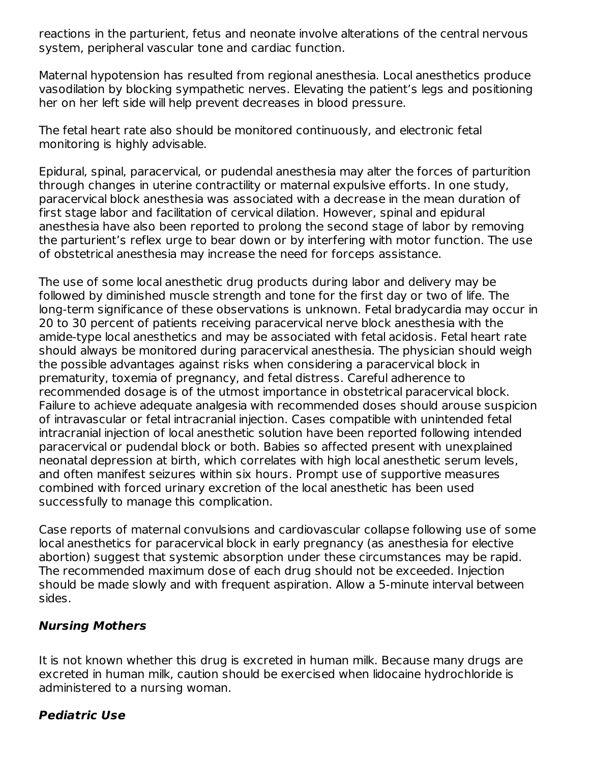reactions in the parturient, fetus and neonate involve alterations of the central nervous system, peripheral vascular tone and cardiac function.

Maternal hypotension has resulted from regional anesthesia. Local anesthetics produce vasodilation by blocking sympathetic nerves. Elevating the patient's legs and positioning her on her left side will help prevent decreases in blood pressure.

The fetal heart rate also should be monitored continuously, and electronic fetal monitoring is highly advisable.

Epidural, spinal, paracervical, or pudendal anesthesia may alter the forces of parturition through changes in uterine contractility or maternal expulsive efforts. In one study, paracervical block anesthesia was associated with a decrease in the mean duration of first stage labor and facilitation of cervical dilation. However, spinal and epidural anesthesia have also been reported to prolong the second stage of labor by removing the parturient's reflex urge to bear down or by interfering with motor function. The use of obstetrical anesthesia may increase the need for forceps assistance.

The use of some local anesthetic drug products during labor and delivery may be followed by diminished muscle strength and tone for the first day or two of life. The long-term significance of these observations is unknown. Fetal bradycardia may occur in 20 to 30 percent of patients receiving paracervical nerve block anesthesia with the amide-type local anesthetics and may be associated with fetal acidosis. Fetal heart rate should always be monitored during paracervical anesthesia. The physician should weigh the possible advantages against risks when considering a paracervical block in prematurity, toxemia of pregnancy, and fetal distress. Careful adherence to recommended dosage is of the utmost importance in obstetrical paracervical block. Failure to achieve adequate analgesia with recommended doses should arouse suspicion of intravascular or fetal intracranial injection. Cases compatible with unintended fetal intracranial injection of local anesthetic solution have been reported following intended paracervical or pudendal block or both. Babies so affected present with unexplained neonatal depression at birth, which correlates with high local anesthetic serum levels, and often manifest seizures within six hours. Prompt use of supportive measures combined with forced urinary excretion of the local anesthetic has been used successfully to manage this complication.

Case reports of maternal convulsions and cardiovascular collapse following use of some local anesthetics for paracervical block in early pregnancy (as anesthesia for elective abortion) suggest that systemic absorption under these circumstances may be rapid. The recommended maximum dose of each drug should not be exceeded. Injection should be made slowly and with frequent aspiration. Allow a 5-minute interval between sides.

### **Nursing Mothers**

It is not known whether this drug is excreted in human milk. Because many drugs are excreted in human milk, caution should be exercised when lidocaine hydrochloride is administered to a nursing woman.

### **Pediatric Use**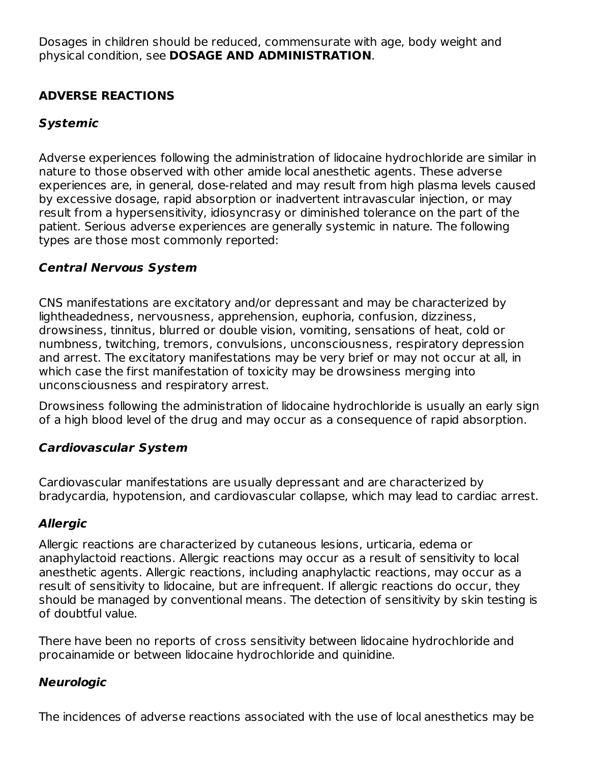Dosages in children should be reduced, commensurate with age, body weight and physical condition, see **DOSAGE AND ADMINISTRATION**.

# **ADVERSE REACTIONS**

## **Systemic**

Adverse experiences following the administration of lidocaine hydrochloride are similar in nature to those observed with other amide local anesthetic agents. These adverse experiences are, in general, dose-related and may result from high plasma levels caused by excessive dosage, rapid absorption or inadvertent intravascular injection, or may result from a hypersensitivity, idiosyncrasy or diminished tolerance on the part of the patient. Serious adverse experiences are generally systemic in nature. The following types are those most commonly reported:

## **Central Nervous System**

CNS manifestations are excitatory and/or depressant and may be characterized by lightheadedness, nervousness, apprehension, euphoria, confusion, dizziness, drowsiness, tinnitus, blurred or double vision, vomiting, sensations of heat, cold or numbness, twitching, tremors, convulsions, unconsciousness, respiratory depression and arrest. The excitatory manifestations may be very brief or may not occur at all, in which case the first manifestation of toxicity may be drowsiness merging into unconsciousness and respiratory arrest.

Drowsiness following the administration of lidocaine hydrochloride is usually an early sign of a high blood level of the drug and may occur as a consequence of rapid absorption.

## **Cardiovascular System**

Cardiovascular manifestations are usually depressant and are characterized by bradycardia, hypotension, and cardiovascular collapse, which may lead to cardiac arrest.

## **Allergic**

Allergic reactions are characterized by cutaneous lesions, urticaria, edema or anaphylactoid reactions. Allergic reactions may occur as a result of sensitivity to local anesthetic agents. Allergic reactions, including anaphylactic reactions, may occur as a result of sensitivity to lidocaine, but are infrequent. If allergic reactions do occur, they should be managed by conventional means. The detection of sensitivity by skin testing is of doubtful value.

There have been no reports of cross sensitivity between lidocaine hydrochloride and procainamide or between lidocaine hydrochloride and quinidine.

### **Neurologic**

The incidences of adverse reactions associated with the use of local anesthetics may be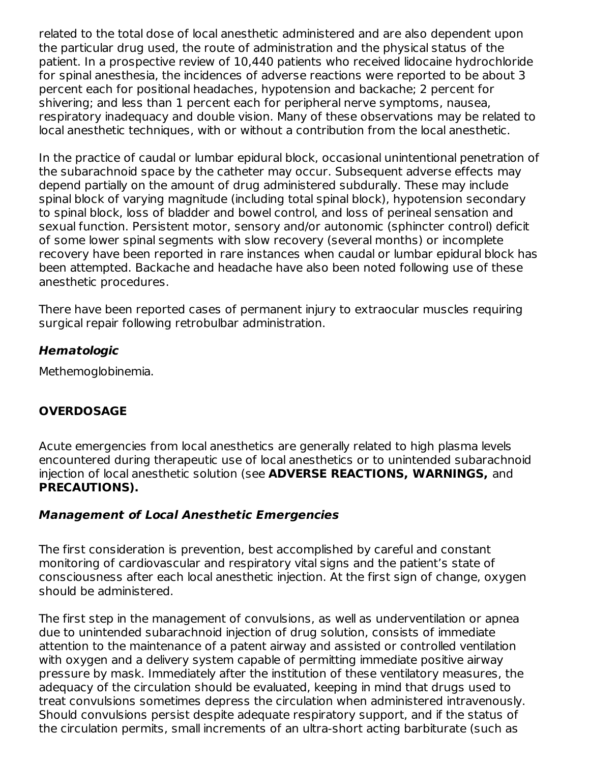related to the total dose of local anesthetic administered and are also dependent upon the particular drug used, the route of administration and the physical status of the patient. In a prospective review of 10,440 patients who received lidocaine hydrochloride for spinal anesthesia, the incidences of adverse reactions were reported to be about 3 percent each for positional headaches, hypotension and backache; 2 percent for shivering; and less than 1 percent each for peripheral nerve symptoms, nausea, respiratory inadequacy and double vision. Many of these observations may be related to local anesthetic techniques, with or without a contribution from the local anesthetic.

In the practice of caudal or lumbar epidural block, occasional unintentional penetration of the subarachnoid space by the catheter may occur. Subsequent adverse effects may depend partially on the amount of drug administered subdurally. These may include spinal block of varying magnitude (including total spinal block), hypotension secondary to spinal block, loss of bladder and bowel control, and loss of perineal sensation and sexual function. Persistent motor, sensory and/or autonomic (sphincter control) deficit of some lower spinal segments with slow recovery (several months) or incomplete recovery have been reported in rare instances when caudal or lumbar epidural block has been attempted. Backache and headache have also been noted following use of these anesthetic procedures.

There have been reported cases of permanent injury to extraocular muscles requiring surgical repair following retrobulbar administration.

### **Hematologic**

Methemoglobinemia.

# **OVERDOSAGE**

Acute emergencies from local anesthetics are generally related to high plasma levels encountered during therapeutic use of local anesthetics or to unintended subarachnoid injection of local anesthetic solution (see **ADVERSE REACTIONS, WARNINGS,** and **PRECAUTIONS).**

### **Management of Local Anesthetic Emergencies**

The first consideration is prevention, best accomplished by careful and constant monitoring of cardiovascular and respiratory vital signs and the patient's state of consciousness after each local anesthetic injection. At the first sign of change, oxygen should be administered.

The first step in the management of convulsions, as well as underventilation or apnea due to unintended subarachnoid injection of drug solution, consists of immediate attention to the maintenance of a patent airway and assisted or controlled ventilation with oxygen and a delivery system capable of permitting immediate positive airway pressure by mask. Immediately after the institution of these ventilatory measures, the adequacy of the circulation should be evaluated, keeping in mind that drugs used to treat convulsions sometimes depress the circulation when administered intravenously. Should convulsions persist despite adequate respiratory support, and if the status of the circulation permits, small increments of an ultra-short acting barbiturate (such as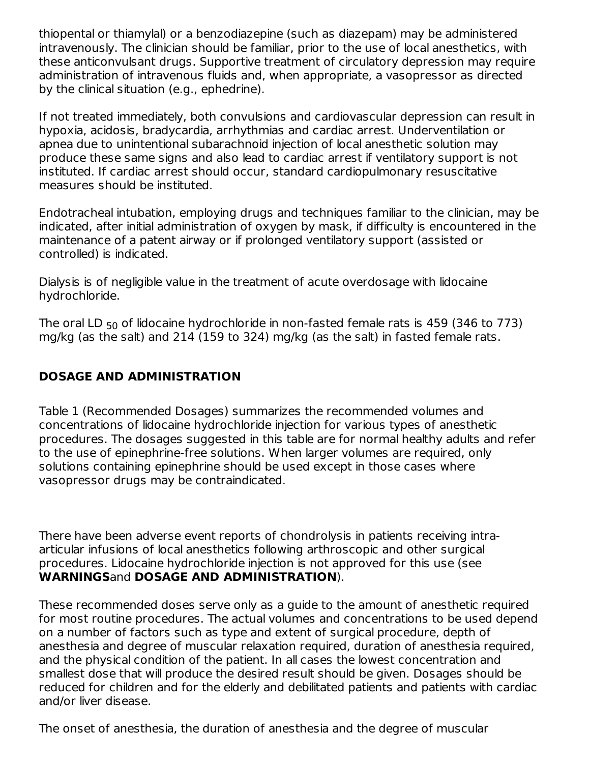thiopental or thiamylal) or a benzodiazepine (such as diazepam) may be administered intravenously. The clinician should be familiar, prior to the use of local anesthetics, with these anticonvulsant drugs. Supportive treatment of circulatory depression may require administration of intravenous fluids and, when appropriate, a vasopressor as directed by the clinical situation (e.g., ephedrine).

If not treated immediately, both convulsions and cardiovascular depression can result in hypoxia, acidosis, bradycardia, arrhythmias and cardiac arrest. Underventilation or apnea due to unintentional subarachnoid injection of local anesthetic solution may produce these same signs and also lead to cardiac arrest if ventilatory support is not instituted. If cardiac arrest should occur, standard cardiopulmonary resuscitative measures should be instituted.

Endotracheal intubation, employing drugs and techniques familiar to the clinician, may be indicated, after initial administration of oxygen by mask, if difficulty is encountered in the maintenance of a patent airway or if prolonged ventilatory support (assisted or controlled) is indicated.

Dialysis is of negligible value in the treatment of acute overdosage with lidocaine hydrochloride.

The oral LD  $_{50}$  of lidocaine hydrochloride in non-fasted female rats is 459 (346 to 773) mg/kg (as the salt) and 214 (159 to 324) mg/kg (as the salt) in fasted female rats.

## **DOSAGE AND ADMINISTRATION**

Table 1 (Recommended Dosages) summarizes the recommended volumes and concentrations of lidocaine hydrochloride injection for various types of anesthetic procedures. The dosages suggested in this table are for normal healthy adults and refer to the use of epinephrine-free solutions. When larger volumes are required, only solutions containing epinephrine should be used except in those cases where vasopressor drugs may be contraindicated.

There have been adverse event reports of chondrolysis in patients receiving intraarticular infusions of local anesthetics following arthroscopic and other surgical procedures. Lidocaine hydrochloride injection is not approved for this use (see **WARNINGS**and **DOSAGE AND ADMINISTRATION**).

These recommended doses serve only as a guide to the amount of anesthetic required for most routine procedures. The actual volumes and concentrations to be used depend on a number of factors such as type and extent of surgical procedure, depth of anesthesia and degree of muscular relaxation required, duration of anesthesia required, and the physical condition of the patient. In all cases the lowest concentration and smallest dose that will produce the desired result should be given. Dosages should be reduced for children and for the elderly and debilitated patients and patients with cardiac and/or liver disease.

The onset of anesthesia, the duration of anesthesia and the degree of muscular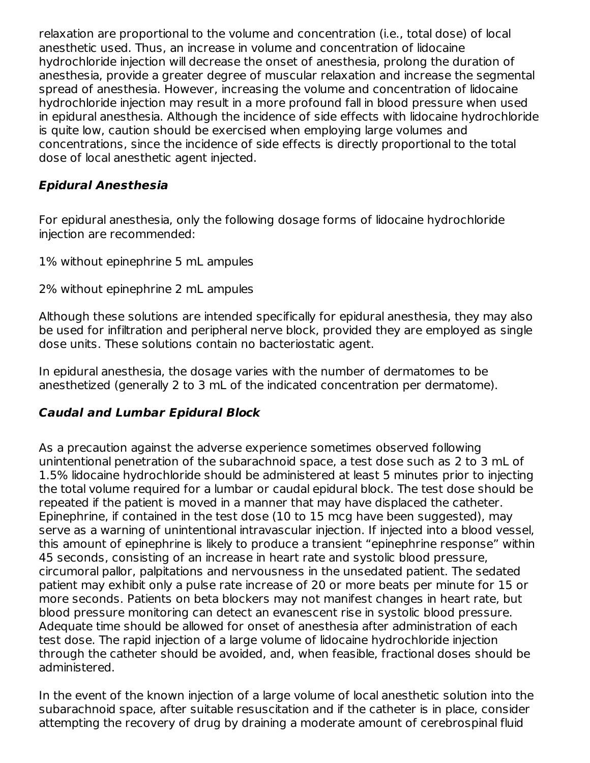relaxation are proportional to the volume and concentration (i.e., total dose) of local anesthetic used. Thus, an increase in volume and concentration of lidocaine hydrochloride injection will decrease the onset of anesthesia, prolong the duration of anesthesia, provide a greater degree of muscular relaxation and increase the segmental spread of anesthesia. However, increasing the volume and concentration of lidocaine hydrochloride injection may result in a more profound fall in blood pressure when used in epidural anesthesia. Although the incidence of side effects with lidocaine hydrochloride is quite low, caution should be exercised when employing large volumes and concentrations, since the incidence of side effects is directly proportional to the total dose of local anesthetic agent injected.

## **Epidural Anesthesia**

For epidural anesthesia, only the following dosage forms of lidocaine hydrochloride injection are recommended:

1% without epinephrine 5 mL ampules

2% without epinephrine 2 mL ampules

Although these solutions are intended specifically for epidural anesthesia, they may also be used for infiltration and peripheral nerve block, provided they are employed as single dose units. These solutions contain no bacteriostatic agent.

In epidural anesthesia, the dosage varies with the number of dermatomes to be anesthetized (generally 2 to 3 mL of the indicated concentration per dermatome).

### **Caudal and Lumbar Epidural Block**

As a precaution against the adverse experience sometimes observed following unintentional penetration of the subarachnoid space, a test dose such as 2 to 3 mL of 1.5% lidocaine hydrochloride should be administered at least 5 minutes prior to injecting the total volume required for a lumbar or caudal epidural block. The test dose should be repeated if the patient is moved in a manner that may have displaced the catheter. Epinephrine, if contained in the test dose (10 to 15 mcg have been suggested), may serve as a warning of unintentional intravascular injection. If injected into a blood vessel, this amount of epinephrine is likely to produce a transient "epinephrine response" within 45 seconds, consisting of an increase in heart rate and systolic blood pressure, circumoral pallor, palpitations and nervousness in the unsedated patient. The sedated patient may exhibit only a pulse rate increase of 20 or more beats per minute for 15 or more seconds. Patients on beta blockers may not manifest changes in heart rate, but blood pressure monitoring can detect an evanescent rise in systolic blood pressure. Adequate time should be allowed for onset of anesthesia after administration of each test dose. The rapid injection of a large volume of lidocaine hydrochloride injection through the catheter should be avoided, and, when feasible, fractional doses should be administered.

In the event of the known injection of a large volume of local anesthetic solution into the subarachnoid space, after suitable resuscitation and if the catheter is in place, consider attempting the recovery of drug by draining a moderate amount of cerebrospinal fluid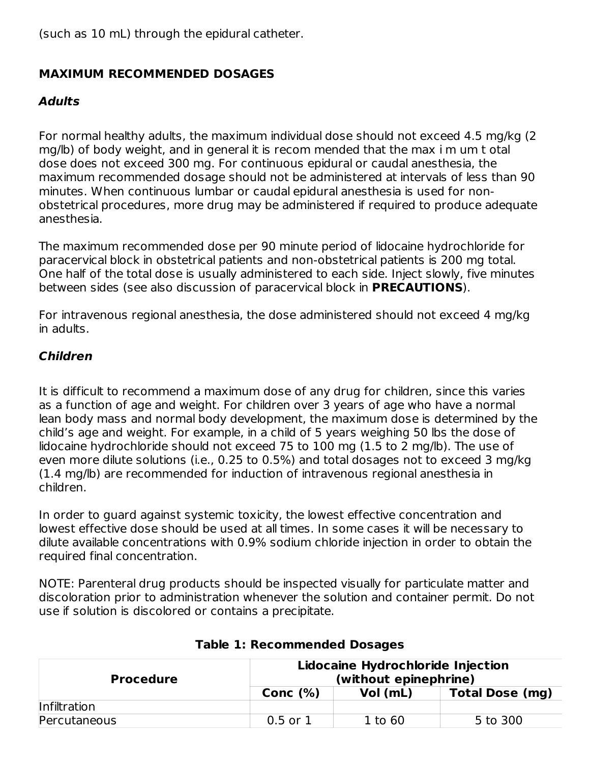(such as 10 mL) through the epidural catheter.

## **MAXIMUM RECOMMENDED DOSAGES**

## **Adults**

For normal healthy adults, the maximum individual dose should not exceed 4.5 mg/kg (2 mg/lb) of body weight, and in general it is recom mended that the max i m um t otal dose does not exceed 300 mg. For continuous epidural or caudal anesthesia, the maximum recommended dosage should not be administered at intervals of less than 90 minutes. When continuous lumbar or caudal epidural anesthesia is used for nonobstetrical procedures, more drug may be administered if required to produce adequate anesthesia.

The maximum recommended dose per 90 minute period of lidocaine hydrochloride for paracervical block in obstetrical patients and non-obstetrical patients is 200 mg total. One half of the total dose is usually administered to each side. Inject slowly, five minutes between sides (see also discussion of paracervical block in **PRECAUTIONS**).

For intravenous regional anesthesia, the dose administered should not exceed 4 mg/kg in adults.

## **Children**

It is difficult to recommend a maximum dose of any drug for children, since this varies as a function of age and weight. For children over 3 years of age who have a normal lean body mass and normal body development, the maximum dose is determined by the child's age and weight. For example, in a child of 5 years weighing 50 lbs the dose of lidocaine hydrochloride should not exceed 75 to 100 mg (1.5 to 2 mg/lb). The use of even more dilute solutions (i.e., 0.25 to 0.5%) and total dosages not to exceed 3 mg/kg (1.4 mg/lb) are recommended for induction of intravenous regional anesthesia in children.

In order to guard against systemic toxicity, the lowest effective concentration and lowest effective dose should be used at all times. In some cases it will be necessary to dilute available concentrations with 0.9% sodium chloride injection in order to obtain the required final concentration.

NOTE: Parenteral drug products should be inspected visually for particulate matter and discoloration prior to administration whenever the solution and container permit. Do not use if solution is discolored or contains a precipitate.

| <b>Procedure</b>    | Lidocaine Hydrochloride Injection<br>(without epinephrine) |             |                        |  |  |
|---------------------|------------------------------------------------------------|-------------|------------------------|--|--|
|                     | Conc $(\%)$                                                | Vol (mL)    | <b>Total Dose (mg)</b> |  |  |
| <b>Infiltration</b> |                                                            |             |                        |  |  |
| Percutaneous        | $0.5$ or $1$                                               | $1$ to $60$ | 5 to 300               |  |  |

### **Table 1: Recommended Dosages**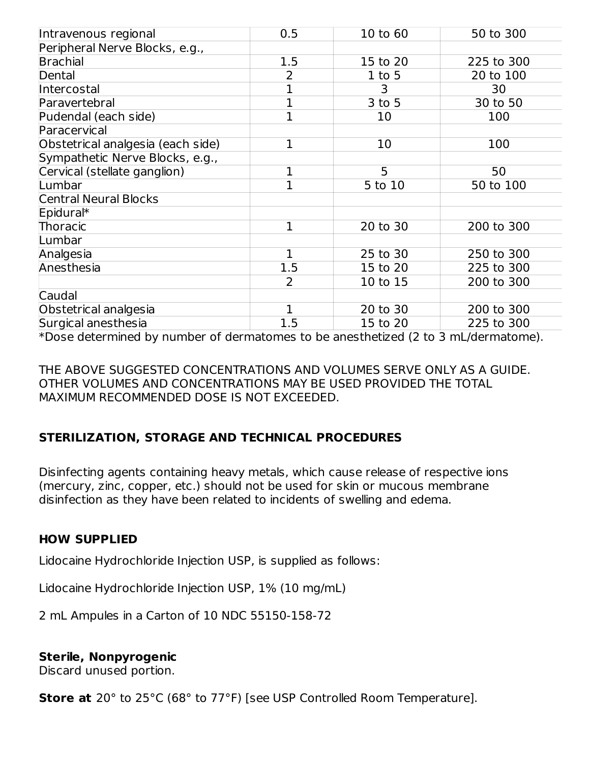| Intravenous regional              | 0.5            | 10 to 60 | 50 to 300  |
|-----------------------------------|----------------|----------|------------|
| Peripheral Nerve Blocks, e.g.,    |                |          |            |
| <b>Brachial</b>                   | 1.5            | 15 to 20 | 225 to 300 |
| Dental                            | 2              | $1$ to 5 | 20 to 100  |
| Intercostal                       |                | 3        | 30         |
| Paravertebral                     | 1              | $3$ to 5 | 30 to 50   |
| Pudendal (each side)              | $\overline{1}$ | 10       | 100        |
| Paracervical                      |                |          |            |
| Obstetrical analgesia (each side) | $\mathbf{1}$   | 10       | 100        |
| Sympathetic Nerve Blocks, e.g.,   |                |          |            |
| Cervical (stellate ganglion)      |                | 5        | 50         |
| Lumbar                            | $\mathbf{1}$   | 5 to 10  | 50 to 100  |
| <b>Central Neural Blocks</b>      |                |          |            |
| Epidural*                         |                |          |            |
| Thoracic                          | $\mathbf{1}$   | 20 to 30 | 200 to 300 |
| Lumbar                            |                |          |            |
| Analgesia                         | $\mathbf{1}$   | 25 to 30 | 250 to 300 |
| Anesthesia                        | 1.5            | 15 to 20 | 225 to 300 |
|                                   | 2              | 10 to 15 | 200 to 300 |
| Caudal                            |                |          |            |
| Obstetrical analgesia             | $\mathbf{1}$   | 20 to 30 | 200 to 300 |
| Surgical anesthesia               | 1.5            | 15 to 20 | 225 to 300 |

\*Dose determined by number of dermatomes to be anesthetized (2 to 3 mL/dermatome).

THE ABOVE SUGGESTED CONCENTRATIONS AND VOLUMES SERVE ONLY AS A GUIDE. OTHER VOLUMES AND CONCENTRATIONS MAY BE USED PROVIDED THE TOTAL MAXIMUM RECOMMENDED DOSE IS NOT EXCEEDED.

### **STERILIZATION, STORAGE AND TECHNICAL PROCEDURES**

Disinfecting agents containing heavy metals, which cause release of respective ions (mercury, zinc, copper, etc.) should not be used for skin or mucous membrane disinfection as they have been related to incidents of swelling and edema.

#### **HOW SUPPLIED**

Lidocaine Hydrochloride Injection USP, is supplied as follows:

Lidocaine Hydrochloride Injection USP, 1% (10 mg/mL)

2 mL Ampules in a Carton of 10 NDC 55150-158-72

#### **Sterile, Nonpyrogenic**

Discard unused portion.

**Store at** 20° to 25°C (68° to 77°F) [see USP Controlled Room Temperature].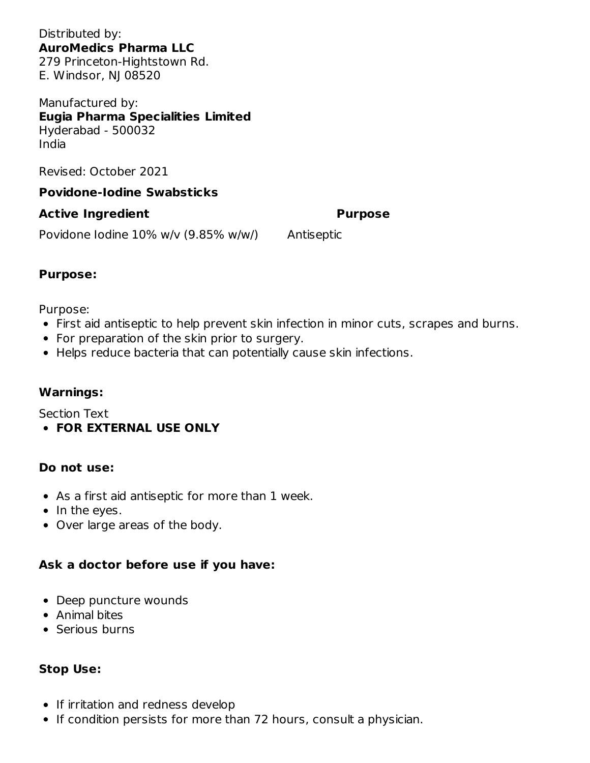Distributed by: **AuroMedics Pharma LLC** 279 Princeton-Hightstown Rd. E. Windsor, NJ 08520

Manufactured by: **Eugia Pharma Specialities Limited** Hyderabad - 500032 India

Revised: October 2021

#### **Povidone-Iodine Swabsticks**

#### **Active Ingredient Purpose**

Povidone Iodine 10% w/v (9.85% w/w/) Antiseptic

### **Purpose:**

Purpose:

- First aid antiseptic to help prevent skin infection in minor cuts, scrapes and burns.
- For preparation of the skin prior to surgery.
- Helps reduce bacteria that can potentially cause skin infections.

### **Warnings:**

Section Text

**FOR EXTERNAL USE ONLY**

#### **Do not use:**

- As a first aid antiseptic for more than 1 week.
- In the eyes.
- Over large areas of the body.

# **Ask a doctor before use if you have:**

- Deep puncture wounds
- Animal bites
- Serious burns

# **Stop Use:**

- If irritation and redness develop
- If condition persists for more than 72 hours, consult a physician.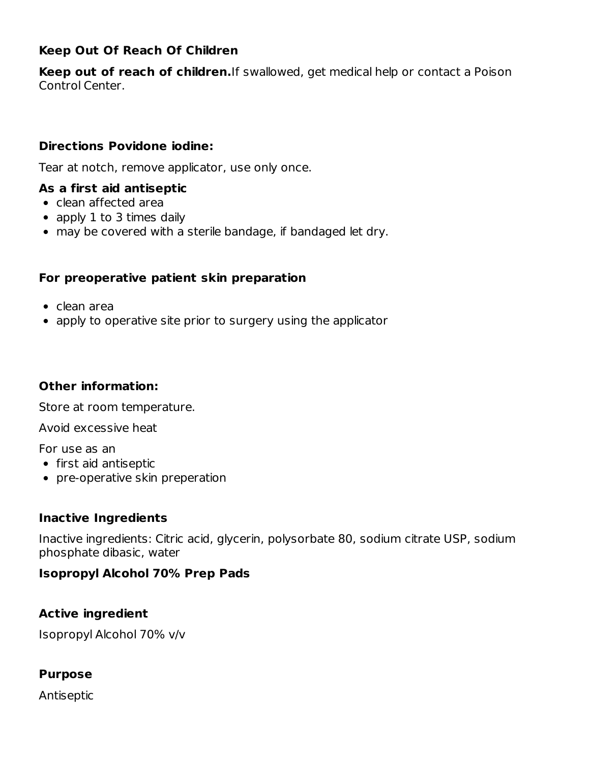## **Keep Out Of Reach Of Children**

**Keep out of reach of children.**If swallowed, get medical help or contact a Poison Control Center.

### **Directions Povidone iodine:**

Tear at notch, remove applicator, use only once.

#### **As a first aid antiseptic**

- clean affected area
- apply 1 to 3 times daily
- may be covered with a sterile bandage, if bandaged let dry.

#### **For preoperative patient skin preparation**

- clean area
- apply to operative site prior to surgery using the applicator

#### **Other information:**

Store at room temperature.

Avoid excessive heat

For use as an

- first aid antiseptic
- pre-operative skin preperation

#### **Inactive Ingredients**

Inactive ingredients: Citric acid, glycerin, polysorbate 80, sodium citrate USP, sodium phosphate dibasic, water

#### **Isopropyl Alcohol 70% Prep Pads**

#### **Active ingredient**

Isopropyl Alcohol 70% v/v

#### **Purpose**

Antiseptic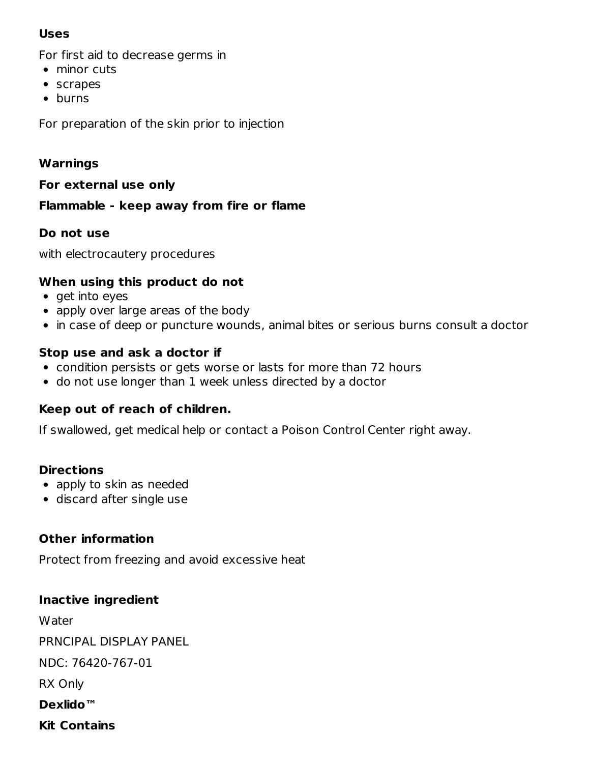### **Uses**

For first aid to decrease germs in

- minor cuts
- scrapes
- burns

For preparation of the skin prior to injection

#### **Warnings**

#### **For external use only**

### **Flammable - keep away from fire or flame**

#### **Do not use**

with electrocautery procedures

### **When using this product do not**

- get into eyes
- apply over large areas of the body
- in case of deep or puncture wounds, animal bites or serious burns consult a doctor

#### **Stop use and ask a doctor if**

- condition persists or gets worse or lasts for more than 72 hours
- do not use longer than 1 week unless directed by a doctor

#### **Keep out of reach of children.**

If swallowed, get medical help or contact a Poison Control Center right away.

#### **Directions**

- apply to skin as needed
- discard after single use

### **Other information**

Protect from freezing and avoid excessive heat

#### **Inactive ingredient**

**Water** PRNCIPAL DISPLAY PANEL NDC: 76420-767-01 RX Only **Dexlido™ Kit Contains**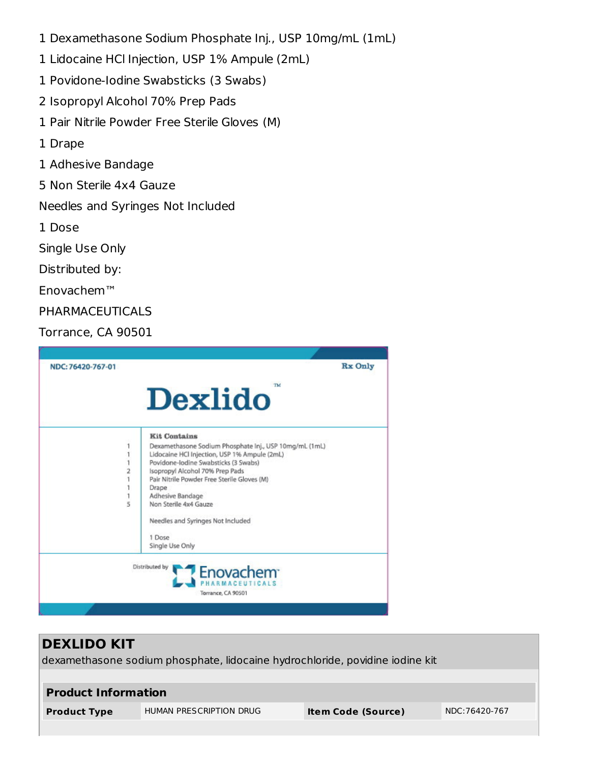- 1 Dexamethasone Sodium Phosphate Inj., USP 10mg/mL (1mL)
- 1 Lidocaine HCl Injection, USP 1% Ampule (2mL)
- 1 Povidone-Iodine Swabsticks (3 Swabs)
- 2 Isopropyl Alcohol 70% Prep Pads
- 1 Pair Nitrile Powder Free Sterile Gloves (M)
- 1 Drape
- 1 Adhesive Bandage
- 5 Non Sterile 4x4 Gauze
- Needles and Syringes Not Included
- 1 Dose
- Single Use Only
- Distributed by:
- Enovachem™
- PHARMACEUTICALS
- Torrance, CA 90501

|                                                        | <b>Rx Only</b>                                                                                                                                                                                                                                                                                             |
|--------------------------------------------------------|------------------------------------------------------------------------------------------------------------------------------------------------------------------------------------------------------------------------------------------------------------------------------------------------------------|
|                                                        |                                                                                                                                                                                                                                                                                                            |
|                                                        |                                                                                                                                                                                                                                                                                                            |
|                                                        |                                                                                                                                                                                                                                                                                                            |
|                                                        |                                                                                                                                                                                                                                                                                                            |
|                                                        |                                                                                                                                                                                                                                                                                                            |
| <b>Kit Contains</b>                                    |                                                                                                                                                                                                                                                                                                            |
| Dexamethasone Sodium Phosphate Inj., USP 10mg/mL (1mL) |                                                                                                                                                                                                                                                                                                            |
| Lidocaine HCl Injection, USP 1% Ampule (2mL)           |                                                                                                                                                                                                                                                                                                            |
|                                                        |                                                                                                                                                                                                                                                                                                            |
|                                                        |                                                                                                                                                                                                                                                                                                            |
|                                                        |                                                                                                                                                                                                                                                                                                            |
|                                                        |                                                                                                                                                                                                                                                                                                            |
|                                                        |                                                                                                                                                                                                                                                                                                            |
|                                                        |                                                                                                                                                                                                                                                                                                            |
| Needles and Syringes Not Included                      |                                                                                                                                                                                                                                                                                                            |
|                                                        |                                                                                                                                                                                                                                                                                                            |
|                                                        |                                                                                                                                                                                                                                                                                                            |
|                                                        |                                                                                                                                                                                                                                                                                                            |
|                                                        |                                                                                                                                                                                                                                                                                                            |
|                                                        |                                                                                                                                                                                                                                                                                                            |
| PHARMACEUTICALS                                        |                                                                                                                                                                                                                                                                                                            |
|                                                        |                                                                                                                                                                                                                                                                                                            |
|                                                        |                                                                                                                                                                                                                                                                                                            |
|                                                        |                                                                                                                                                                                                                                                                                                            |
|                                                        | <b>TM</b><br><b>Dexlido</b><br>Povidone-Iodine Swabsticks (3 Swabs)<br>Isopropyl Alcohol 70% Prep Pads<br>Pair Nitrile Powder Free Sterile Gloves (M)<br>Drape<br>Adhesive Bandage<br>Non Sterile 4x4 Gauze<br>1 Dose<br>Single Use Only<br>Distributed by<br>Enovachem <sup>®</sup><br>Torrance, CA 90501 |

# **DEXLIDO KIT**

dexamethasone sodium phosphate, lidocaine hydrochloride, povidine iodine kit

| <b>Product Information</b> |                         |                           |               |  |  |  |
|----------------------------|-------------------------|---------------------------|---------------|--|--|--|
| <b>Product Type</b>        | HUMAN PRESCRIPTION DRUG | <b>Item Code (Source)</b> | NDC:76420-767 |  |  |  |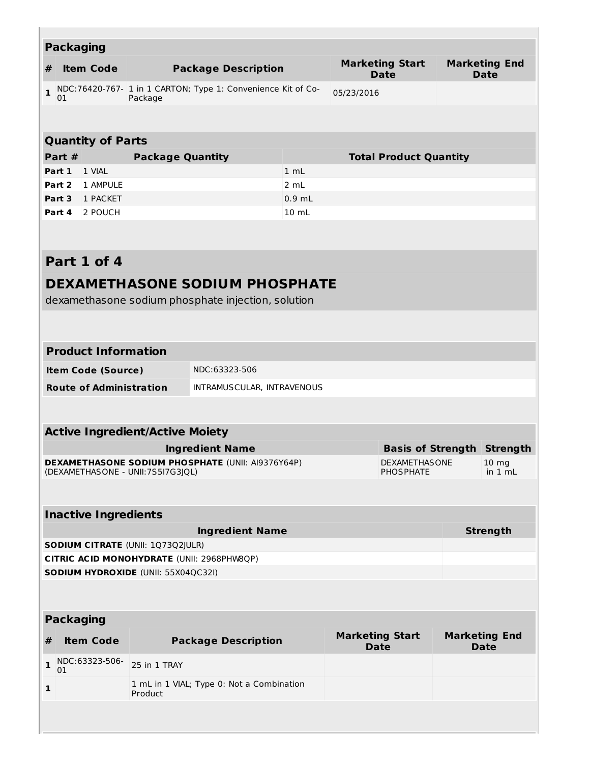|                       | <b>Packaging</b> |                                |                                            |                                                          |                                                                            |                                       |                                       |                                     |                                     |
|-----------------------|------------------|--------------------------------|--------------------------------------------|----------------------------------------------------------|----------------------------------------------------------------------------|---------------------------------------|---------------------------------------|-------------------------------------|-------------------------------------|
| <b>Item Code</b><br># |                  |                                |                                            | <b>Package Description</b>                               |                                                                            | <b>Marketing Start</b><br><b>Date</b> |                                       | <b>Marketing End</b><br><b>Date</b> |                                     |
| $\mathbf{1}$          |                  |                                |                                            |                                                          | NDC:76420-767- 1 in 1 CARTON; Type 1: Convenience Kit of Co-<br>05/23/2016 |                                       |                                       |                                     |                                     |
|                       | 01               |                                | Package                                    |                                                          |                                                                            |                                       |                                       |                                     |                                     |
|                       |                  |                                |                                            |                                                          |                                                                            |                                       |                                       |                                     |                                     |
|                       |                  | <b>Quantity of Parts</b>       |                                            |                                                          |                                                                            |                                       |                                       |                                     |                                     |
|                       | Part #<br>Part 1 | 1 VIAL                         | <b>Package Quantity</b>                    |                                                          | 1 mL                                                                       |                                       | <b>Total Product Quantity</b>         |                                     |                                     |
|                       | Part 2           | 1 AMPULE                       |                                            |                                                          | 2 mL                                                                       |                                       |                                       |                                     |                                     |
|                       | Part 3           | 1 PACKET                       |                                            |                                                          | $0.9$ mL                                                                   |                                       |                                       |                                     |                                     |
|                       | Part 4           | 2 POUCH                        |                                            |                                                          | 10 mL                                                                      |                                       |                                       |                                     |                                     |
|                       |                  |                                |                                            |                                                          |                                                                            |                                       |                                       |                                     |                                     |
|                       |                  |                                |                                            |                                                          |                                                                            |                                       |                                       |                                     |                                     |
|                       |                  | Part 1 of 4                    |                                            |                                                          |                                                                            |                                       |                                       |                                     |                                     |
|                       |                  |                                |                                            |                                                          |                                                                            |                                       |                                       |                                     |                                     |
|                       |                  |                                |                                            | <b>DEXAMETHASONE SODIUM PHOSPHATE</b>                    |                                                                            |                                       |                                       |                                     |                                     |
|                       |                  |                                |                                            | dexamethasone sodium phosphate injection, solution       |                                                                            |                                       |                                       |                                     |                                     |
|                       |                  |                                |                                            |                                                          |                                                                            |                                       |                                       |                                     |                                     |
|                       |                  | <b>Product Information</b>     |                                            |                                                          |                                                                            |                                       |                                       |                                     |                                     |
|                       |                  | <b>Item Code (Source)</b>      |                                            | NDC:63323-506                                            |                                                                            |                                       |                                       |                                     |                                     |
|                       |                  |                                |                                            |                                                          | INTRAMUSCULAR, INTRAVENOUS                                                 |                                       |                                       |                                     |                                     |
|                       |                  | <b>Route of Administration</b> |                                            |                                                          |                                                                            |                                       |                                       |                                     |                                     |
|                       |                  |                                |                                            |                                                          |                                                                            |                                       |                                       |                                     |                                     |
|                       |                  |                                | <b>Active Ingredient/Active Moiety</b>     |                                                          |                                                                            |                                       |                                       |                                     |                                     |
|                       |                  |                                |                                            | <b>Ingredient Name</b>                                   |                                                                            |                                       |                                       |                                     | <b>Basis of Strength Strength</b>   |
|                       |                  |                                | (DEXAMETHASONE - UNII: 7S5I7G3JQL)         | <b>DEXAMETHASONE SODIUM PHOSPHATE (UNII: AI9376Y64P)</b> |                                                                            |                                       | DEXAMETHASONE<br><b>PHOSPHATE</b>     |                                     | 10 <sub>mg</sub><br>in 1 mL         |
|                       |                  |                                |                                            |                                                          |                                                                            |                                       |                                       |                                     |                                     |
|                       |                  |                                |                                            |                                                          |                                                                            |                                       |                                       |                                     |                                     |
|                       |                  | <b>Inactive Ingredients</b>    |                                            |                                                          |                                                                            |                                       |                                       |                                     |                                     |
|                       |                  |                                |                                            | <b>Ingredient Name</b>                                   |                                                                            |                                       |                                       |                                     | <b>Strength</b>                     |
|                       |                  |                                | <b>SODIUM CITRATE (UNII: 1Q73Q2JULR)</b>   |                                                          |                                                                            |                                       |                                       |                                     |                                     |
|                       |                  |                                |                                            | CITRIC ACID MONOHYDRATE (UNII: 2968PHW8QP)               |                                                                            |                                       |                                       |                                     |                                     |
|                       |                  |                                | <b>SODIUM HYDROXIDE (UNII: 55X04QC32I)</b> |                                                          |                                                                            |                                       |                                       |                                     |                                     |
|                       |                  |                                |                                            |                                                          |                                                                            |                                       |                                       |                                     |                                     |
|                       | <b>Packaging</b> |                                |                                            |                                                          |                                                                            |                                       |                                       |                                     |                                     |
| #                     |                  | <b>Item Code</b>               |                                            | <b>Package Description</b>                               |                                                                            |                                       | <b>Marketing Start</b><br><b>Date</b> |                                     | <b>Marketing End</b><br><b>Date</b> |
| 1                     | 01               | NDC:63323-506-                 | 25 in 1 TRAY                               |                                                          |                                                                            |                                       |                                       |                                     |                                     |
| 1                     |                  |                                |                                            | 1 mL in 1 VIAL; Type 0: Not a Combination                |                                                                            |                                       |                                       |                                     |                                     |
|                       | Product          |                                |                                            |                                                          |                                                                            |                                       |                                       |                                     |                                     |
|                       |                  |                                |                                            |                                                          |                                                                            |                                       |                                       |                                     |                                     |
|                       |                  |                                |                                            |                                                          |                                                                            |                                       |                                       |                                     |                                     |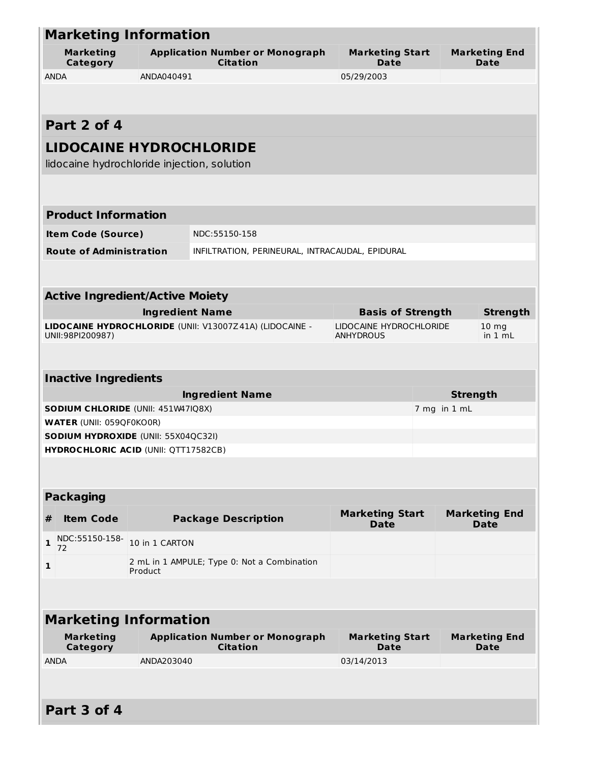| <b>Marketing Information</b>                                                                                                |                        |                                                           |                                |              |                 |                              |  |  |
|-----------------------------------------------------------------------------------------------------------------------------|------------------------|-----------------------------------------------------------|--------------------------------|--------------|-----------------|------------------------------|--|--|
| <b>Application Number or Monograph</b><br><b>Marketing</b><br><b>Marketing Start</b><br><b>Citation</b><br>Category<br>Date |                        |                                                           |                                |              |                 | <b>Marketing End</b><br>Date |  |  |
| <b>ANDA</b>                                                                                                                 | ANDA040491             |                                                           | 05/29/2003                     |              |                 |                              |  |  |
|                                                                                                                             |                        |                                                           |                                |              |                 |                              |  |  |
| Part 2 of 4                                                                                                                 |                        |                                                           |                                |              |                 |                              |  |  |
| <b>LIDOCAINE HYDROCHLORIDE</b><br>lidocaine hydrochloride injection, solution                                               |                        |                                                           |                                |              |                 |                              |  |  |
|                                                                                                                             |                        |                                                           |                                |              |                 |                              |  |  |
|                                                                                                                             |                        |                                                           |                                |              |                 |                              |  |  |
| <b>Product Information</b>                                                                                                  |                        |                                                           |                                |              |                 |                              |  |  |
| <b>Item Code (Source)</b>                                                                                                   |                        | NDC:55150-158                                             |                                |              |                 |                              |  |  |
| <b>Route of Administration</b>                                                                                              |                        | INFILTRATION, PERINEURAL, INTRACAUDAL, EPIDURAL           |                                |              |                 |                              |  |  |
|                                                                                                                             |                        |                                                           |                                |              |                 |                              |  |  |
| <b>Active Ingredient/Active Moiety</b>                                                                                      |                        |                                                           |                                |              |                 |                              |  |  |
|                                                                                                                             | <b>Ingredient Name</b> |                                                           | <b>Basis of Strength</b>       |              |                 | <b>Strength</b>              |  |  |
|                                                                                                                             |                        | LIDOCAINE HYDROCHLORIDE (UNII: V13007Z41A) (LIDOCAINE -   | LIDOCAINE HYDROCHLORIDE        |              |                 | 10 <sub>mg</sub>             |  |  |
| UNII:98PI200987)                                                                                                            |                        |                                                           | <b>ANHYDROUS</b>               |              |                 | in 1 mL                      |  |  |
|                                                                                                                             |                        |                                                           |                                |              |                 |                              |  |  |
| <b>Inactive Ingredients</b>                                                                                                 |                        |                                                           |                                |              |                 |                              |  |  |
|                                                                                                                             |                        | <b>Ingredient Name</b>                                    |                                |              | <b>Strength</b> |                              |  |  |
| <b>SODIUM CHLORIDE (UNII: 451W47IQ8X)</b><br><b>WATER (UNII: 059QF0KO0R)</b>                                                |                        |                                                           |                                | 7 mg in 1 mL |                 |                              |  |  |
| <b>SODIUM HYDROXIDE (UNII: 55X04QC32I)</b>                                                                                  |                        |                                                           |                                |              |                 |                              |  |  |
| <b>HYDROCHLORIC ACID (UNII: QTT17582CB)</b>                                                                                 |                        |                                                           |                                |              |                 |                              |  |  |
|                                                                                                                             |                        |                                                           |                                |              |                 |                              |  |  |
| <b>Packaging</b>                                                                                                            |                        |                                                           |                                |              |                 |                              |  |  |
|                                                                                                                             |                        |                                                           | <b>Marketing Start</b>         |              |                 | <b>Marketing End</b>         |  |  |
| <b>Item Code</b><br>#                                                                                                       |                        | <b>Package Description</b>                                | <b>Date</b>                    |              |                 | <b>Date</b>                  |  |  |
| NDC:55150-158-<br>$\mathbf{1}$<br>72                                                                                        | 10 in 1 CARTON         |                                                           |                                |              |                 |                              |  |  |
| 1                                                                                                                           | Product                | 2 mL in 1 AMPULE; Type 0: Not a Combination               |                                |              |                 |                              |  |  |
|                                                                                                                             |                        |                                                           |                                |              |                 |                              |  |  |
| <b>Marketing Information</b>                                                                                                |                        |                                                           |                                |              |                 |                              |  |  |
| <b>Marketing</b><br>Category                                                                                                |                        | <b>Application Number or Monograph</b><br><b>Citation</b> | <b>Marketing Start</b><br>Date |              |                 | <b>Marketing End</b><br>Date |  |  |
| <b>ANDA</b>                                                                                                                 | ANDA203040             |                                                           | 03/14/2013                     |              |                 |                              |  |  |
|                                                                                                                             |                        |                                                           |                                |              |                 |                              |  |  |
|                                                                                                                             |                        |                                                           |                                |              |                 |                              |  |  |
| Part 3 of 4                                                                                                                 |                        |                                                           |                                |              |                 |                              |  |  |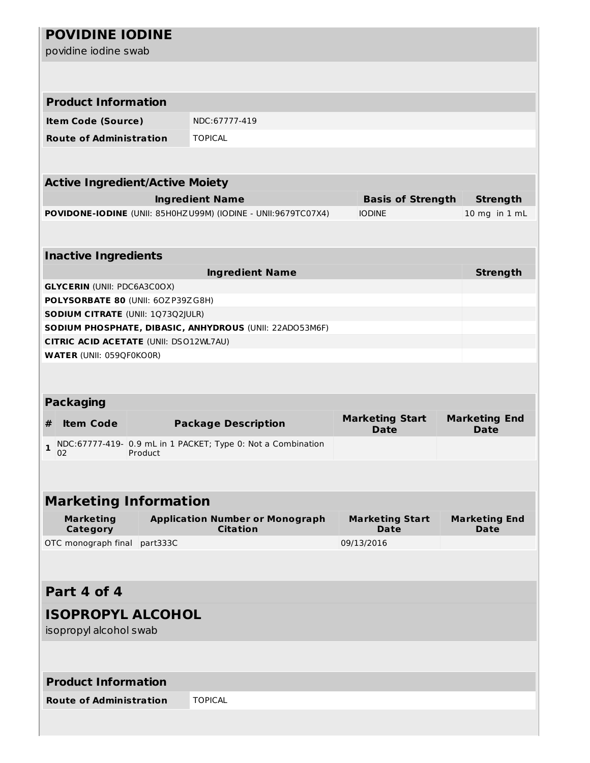# **POVIDINE IODINE** povidine iodine swab **Product Information Item Code (Source)** NDC:67777-419 **Route of Administration** TOPICAL **Active Ingredient/Active Moiety Ingredient Name Basis of Strength Strength POVIDONE-IODINE** (UNII: 85H0HZU99M) (IODINE - UNII:9679TC07X4) IODINE 10 mg in 1 mL **Inactive Ingredients Ingredient Name Strength GLYCERIN** (UNII: PDC6A3C0OX) **POLYSORBATE 80** (UNII: 6OZP39ZG8H) **SODIUM CITRATE** (UNII: 1Q73Q2JULR) **SODIUM PHOSPHATE, DIBASIC, ANHYDROUS** (UNII: 22ADO53M6F) **CITRIC ACID ACETATE** (UNII: DSO12WL7AU) **WATER** (UNII: 059QF0KO0R) **Packaging # Item Code Package Description Marketing Start Date Marketing End Date 1** NDC:67777-419- 0.9 mL in 1 PACKET; Type 0: Not a Combination  $02$ Product **Marketing Information Marketing Category Application Number or Monograph Citation Marketing Start Date Marketing End Date** OTC monograph final part333C 09/13/2016 **Part 4 of 4**

## **ISOPROPYL ALCOHOL**

isopropyl alcohol swab

#### **Product Information**

**Route of Administration** TOPICAL